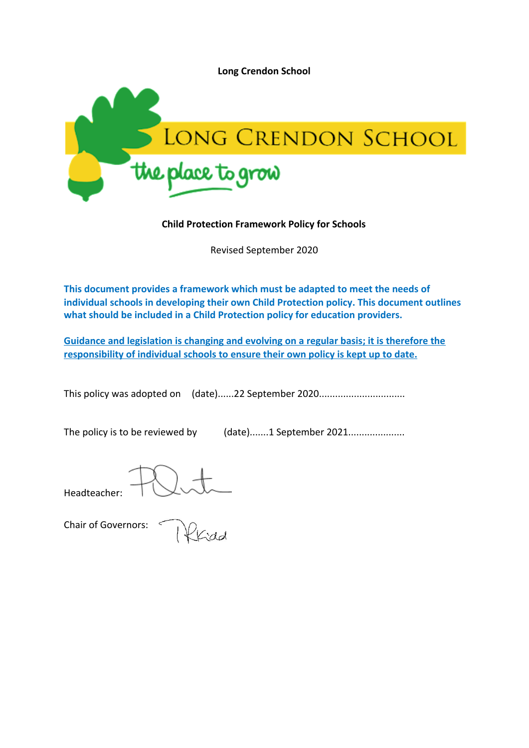**Long Crendon School**



#### **Child Protection Framework Policy for Schools**

Revised September 2020

**This document provides a framework which must be adapted to meet the needs of individual schools in developing their own Child Protection policy. This document outlines what should be included in a Child Protection policy for education providers.**

**Guidance and legislation is changing and evolving on a regular basis; it is therefore the responsibility of individual schools to ensure their own policy is kept up to date.**

This policy was adopted on (date)......22 September 2020................................

The policy is to be reviewed by (date).......1 September 2021....................

Headteacher:

Chair of Governors: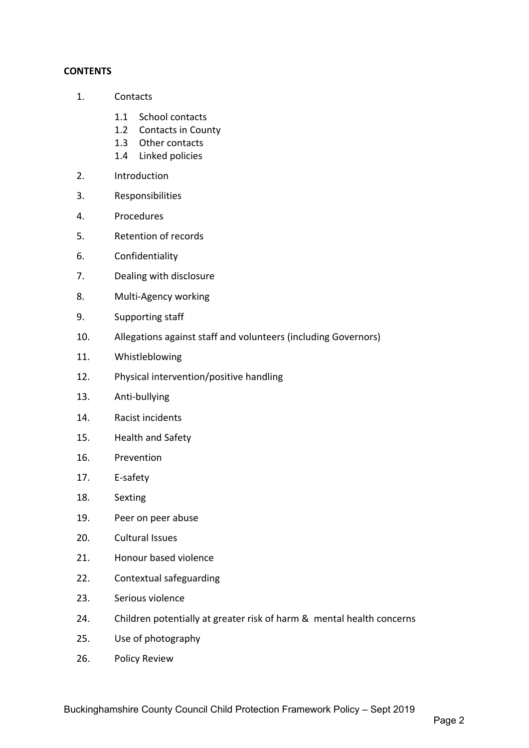### **CONTENTS**

- 1. Contacts
	- 1.1 School contacts
	- 1.2 Contacts in County
	- 1.3 Other contacts
	- 1.4 Linked policies
- 2. Introduction
- 3. Responsibilities
- 4. Procedures
- 5. Retention of records
- 6. Confidentiality
- 7. Dealing with disclosure
- 8. Multi-Agency working
- 9. Supporting staff
- 10. Allegations against staff and volunteers (including Governors)
- 11. Whistleblowing
- 12. Physical intervention/positive handling
- 13. Anti-bullying
- 14. Racist incidents
- 15. Health and Safety
- 16. Prevention
- 17. E-safety
- 18. Sexting
- 19. Peer on peer abuse
- 20. Cultural Issues
- 21. Honour based violence
- 22. Contextual safeguarding
- 23. Serious violence
- 24. Children potentially at greater risk of harm & mental health concerns
- 25. Use of photography
- 26. Policy Review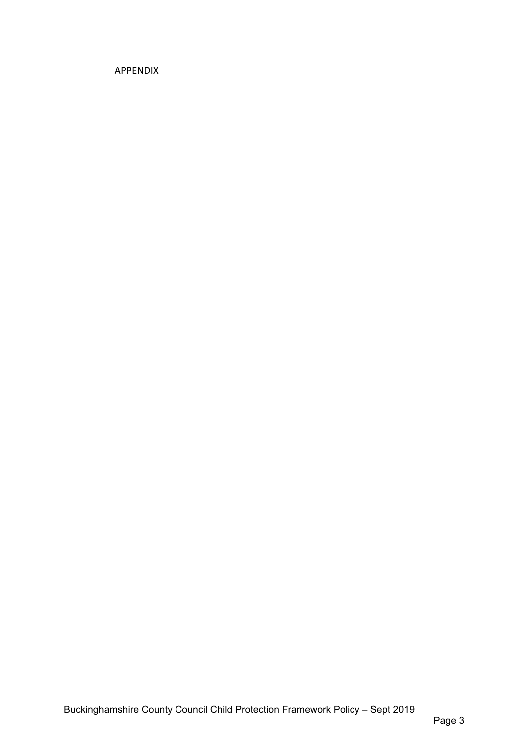## APPENDIX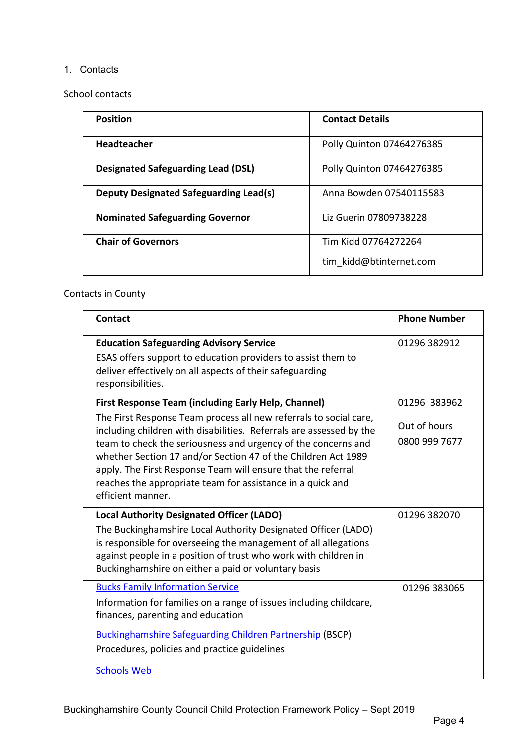# 1. Contacts

School contacts

| <b>Position</b>                               | <b>Contact Details</b>    |  |
|-----------------------------------------------|---------------------------|--|
| <b>Headteacher</b>                            | Polly Quinton 07464276385 |  |
| <b>Designated Safeguarding Lead (DSL)</b>     | Polly Quinton 07464276385 |  |
| <b>Deputy Designated Safeguarding Lead(s)</b> | Anna Bowden 07540115583   |  |
| <b>Nominated Safeguarding Governor</b>        | Liz Guerin 07809738228    |  |
| <b>Chair of Governors</b>                     | Tim Kidd 07764272264      |  |
|                                               | tim kidd@btinternet.com   |  |

Contacts in County

| Contact                                                                                                                                                                                                                                                                                                                                                                                                                       | <b>Phone Number</b>           |
|-------------------------------------------------------------------------------------------------------------------------------------------------------------------------------------------------------------------------------------------------------------------------------------------------------------------------------------------------------------------------------------------------------------------------------|-------------------------------|
| <b>Education Safeguarding Advisory Service</b><br>ESAS offers support to education providers to assist them to<br>deliver effectively on all aspects of their safeguarding<br>responsibilities.                                                                                                                                                                                                                               | 01296 382912                  |
| <b>First Response Team (including Early Help, Channel)</b>                                                                                                                                                                                                                                                                                                                                                                    | 01296 383962                  |
| The First Response Team process all new referrals to social care,<br>including children with disabilities. Referrals are assessed by the<br>team to check the seriousness and urgency of the concerns and<br>whether Section 17 and/or Section 47 of the Children Act 1989<br>apply. The First Response Team will ensure that the referral<br>reaches the appropriate team for assistance in a quick and<br>efficient manner. | Out of hours<br>0800 999 7677 |
| <b>Local Authority Designated Officer (LADO)</b>                                                                                                                                                                                                                                                                                                                                                                              | 01296 382070                  |
| The Buckinghamshire Local Authority Designated Officer (LADO)<br>is responsible for overseeing the management of all allegations<br>against people in a position of trust who work with children in<br>Buckinghamshire on either a paid or voluntary basis                                                                                                                                                                    |                               |
| <b>Bucks Family Information Service</b>                                                                                                                                                                                                                                                                                                                                                                                       | 01296 383065                  |
| Information for families on a range of issues including childcare,<br>finances, parenting and education                                                                                                                                                                                                                                                                                                                       |                               |
| <b>Buckinghamshire Safeguarding Children Partnership (BSCP)</b><br>Procedures, policies and practice guidelines                                                                                                                                                                                                                                                                                                               |                               |
| <b>Schools Web</b>                                                                                                                                                                                                                                                                                                                                                                                                            |                               |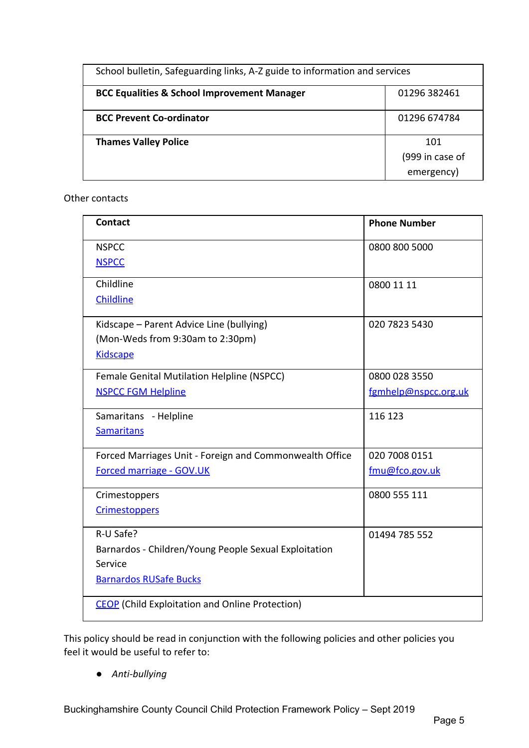| School bulletin, Safeguarding links, A-Z guide to information and services |                 |  |
|----------------------------------------------------------------------------|-----------------|--|
| <b>BCC Equalities &amp; School Improvement Manager</b>                     | 01296382461     |  |
| <b>BCC Prevent Co-ordinator</b>                                            | 01296 674784    |  |
| <b>Thames Valley Police</b>                                                | 101             |  |
|                                                                            | (999 in case of |  |
|                                                                            | emergency)      |  |

Other contacts

| <b>Contact</b>                                          | <b>Phone Number</b>  |
|---------------------------------------------------------|----------------------|
| <b>NSPCC</b>                                            | 0800 800 5000        |
| <b>NSPCC</b>                                            |                      |
| Childline                                               | 0800 11 11           |
| Childline                                               |                      |
| Kidscape - Parent Advice Line (bullying)                | 020 7823 5430        |
| (Mon-Weds from 9:30am to 2:30pm)                        |                      |
| <b>Kidscape</b>                                         |                      |
| Female Genital Mutilation Helpline (NSPCC)              | 0800 028 3550        |
| <b>NSPCC FGM Helpline</b>                               | fgmhelp@nspcc.org.uk |
| Samaritans - Helpline                                   | 116 123              |
| <b>Samaritans</b>                                       |                      |
| Forced Marriages Unit - Foreign and Commonwealth Office | 020 7008 0151        |
| <b>Forced marriage - GOV.UK</b>                         | fmu@fco.gov.uk       |
| Crimestoppers                                           | 0800 555 111         |
| <b>Crimestoppers</b>                                    |                      |
| R-U Safe?                                               | 01494 785 552        |
| Barnardos - Children/Young People Sexual Exploitation   |                      |
| Service                                                 |                      |
| <b>Barnardos RUSafe Bucks</b>                           |                      |
| <b>CEOP</b> (Child Exploitation and Online Protection)  |                      |

This policy should be read in conjunction with the following policies and other policies you feel it would be useful to refer to:

*● Anti-bullying*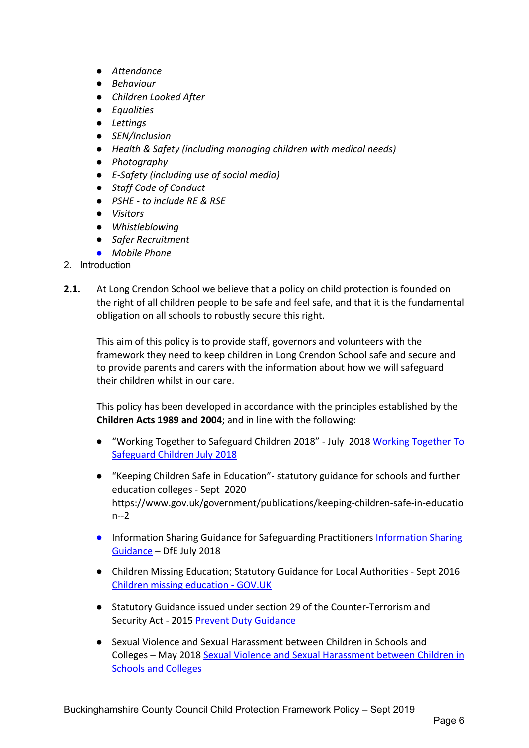- *● Attendance*
- *● Behaviour*
- *● Children Looked After*
- *● Equalities*
- *● Lettings*
- *● SEN/Inclusion*
- *● Health & Safety (including managing children with medical needs)*
- *● Photography*
- *● E-Safety (including use of social media)*
- *● Staff Code of Conduct*
- *● PSHE to include RE & RSE*
- *● Visitors*
- *● Whistleblowing*
- *● Safer Recruitment*
- *● Mobile Phone*
- 2. Introduction
- **2.1.** At Long Crendon School we believe that a policy on child protection is founded on the right of all children people to be safe and feel safe, and that it is the fundamental obligation on all schools to robustly secure this right.

This aim of this policy is to provide staff, governors and volunteers with the framework they need to keep children in Long Crendon School safe and secure and to provide parents and carers with the information about how we will safeguard their children whilst in our care.

This policy has been developed in accordance with the principles established by the **Children Acts 1989 and 2004**; and in line with the following:

- "Working Together to Safeguard Children 2018" July 2018 [Working Together To](https://www.gov.uk/government/publications/working-together-to-safeguard-children--2) [Safeguard Children July 2018](https://www.gov.uk/government/publications/working-together-to-safeguard-children--2)
- "Keeping Children Safe in Education"- statutory guidance for schools and further education colleges - Sept 2020 https://www.gov.uk/government/publications/keeping-children-safe-in-educatio n--2
- Information Sharing Guidance for Safeguarding Practitioners [Information Sharing](https://www.gov.uk/government/publications/safeguarding-practitioners-information-sharing-advice) [Guidance](https://www.gov.uk/government/publications/safeguarding-practitioners-information-sharing-advice) – DfE July 2018
- Children Missing Education; Statutory Guidance for Local Authorities Sept 2016 [Children missing education - GOV.UK](https://www.gov.uk/government/publications/children-missing-education)
- Statutory Guidance issued under section 29 of the Counter-Terrorism and Security Act - 2015 [Prevent Duty Guidance](https://www.gov.uk/government/publications/prevent-duty-guidance)
- Sexual Violence and Sexual Harassment between Children in Schools and Colleges – May 2018 [Sexual Violence and Sexual Harassment between Children in](https://www.gov.uk/government/publications/sexual-violence-and-sexual-harassment-between-children-in-schools-and-colleges) [Schools and Colleges](https://www.gov.uk/government/publications/sexual-violence-and-sexual-harassment-between-children-in-schools-and-colleges)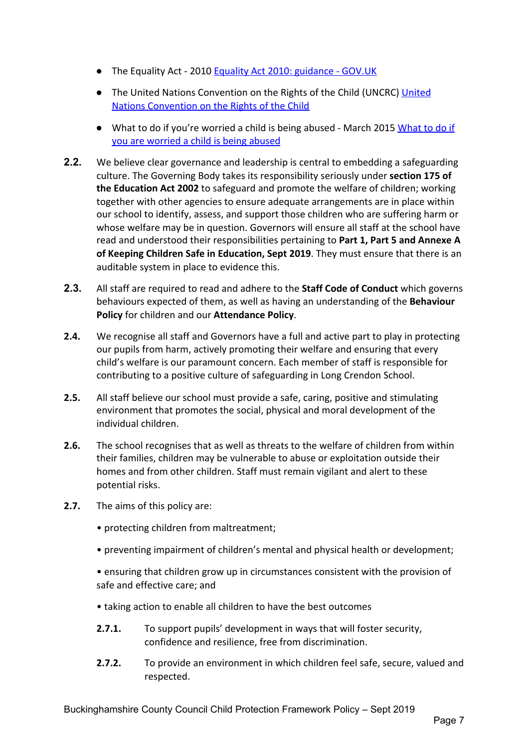- The Equality Act 2010 [Equality Act 2010: guidance GOV.UK](https://www.gov.uk/guidance/equality-act-2010-guidance)
- The [United](https://www.gov.uk/government/publications/united-nations-convention-on-the-rights-of-the-child-uncrc-how-legislation-underpins-implementation-in-england) Nations Convention on the Rights of the Child (UNCRC) United [Nations Convention on the Rights of the Child](https://www.gov.uk/government/publications/united-nations-convention-on-the-rights-of-the-child-uncrc-how-legislation-underpins-implementation-in-england)
- [What to do if](https://assets.publishing.service.gov.uk/government/uploads/system/uploads/attachment_data/file/419604/What_to_do_if_you_re_worried_a_child_is_being_abused.pdf) you're worried a child is being abused March 2015 What to do if [you are worried a child is being abused](https://assets.publishing.service.gov.uk/government/uploads/system/uploads/attachment_data/file/419604/What_to_do_if_you_re_worried_a_child_is_being_abused.pdf)
- **2.2.** We believe clear governance and leadership is central to embedding a safeguarding culture. The Governing Body takes its responsibility seriously under **section 175 of the Education Act 2002** to safeguard and promote the welfare of children; working together with other agencies to ensure adequate arrangements are in place within our school to identify, assess, and support those children who are suffering harm or whose welfare may be in question. Governors will ensure all staff at the school have read and understood their responsibilities pertaining to **Part 1, Part 5 and Annexe A of Keeping Children Safe in Education, Sept 2019**. They must ensure that there is an auditable system in place to evidence this.
- **2.3.** All staff are required to read and adhere to the **Staff Code of Conduct** which governs behaviours expected of them, as well as having an understanding of the **Behaviour Policy** for children and our **Attendance Policy**.
- **2.4.** We recognise all staff and Governors have a full and active part to play in protecting our pupils from harm, actively promoting their welfare and ensuring that every child's welfare is our paramount concern. Each member of staff is responsible for contributing to a positive culture of safeguarding in Long Crendon School.
- **2.5.** All staff believe our school must provide a safe, caring, positive and stimulating environment that promotes the social, physical and moral development of the individual children.
- **2.6.** The school recognises that as well as threats to the welfare of children from within their families, children may be vulnerable to abuse or exploitation outside their homes and from other children. Staff must remain vigilant and alert to these potential risks.
- **2.7.** The aims of this policy are:
	- protecting children from maltreatment;
	- preventing impairment of children's mental and physical health or development;
	- ensuring that children grow up in circumstances consistent with the provision of safe and effective care; and
	- taking action to enable all children to have the best outcomes
	- **2.7.1.** To support pupils' development in ways that will foster security, confidence and resilience, free from discrimination.
	- **2.7.2.** To provide an environment in which children feel safe, secure, valued and respected.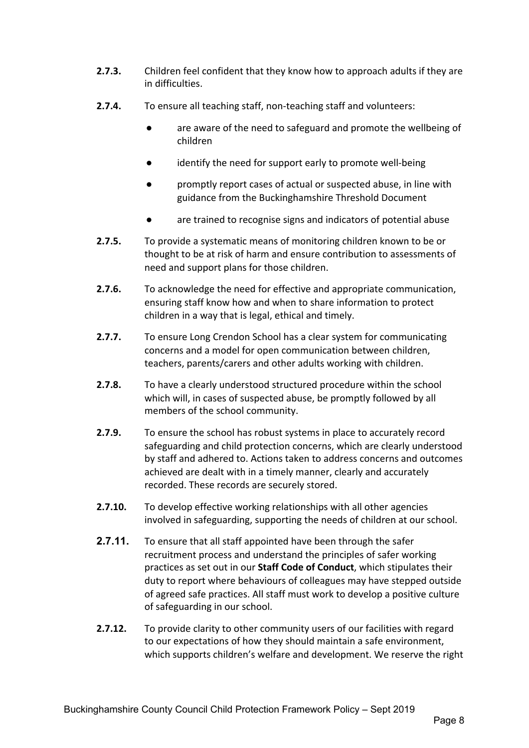- **2.7.3.** Children feel confident that they know how to approach adults if they are in difficulties.
- **2.7.4.** To ensure all teaching staff, non-teaching staff and volunteers:
	- are aware of the need to safeguard and promote the wellbeing of children
	- identify the need for support early to promote well-being
	- **●** promptly report cases of actual or suspected abuse, in line with guidance from the Buckinghamshire Threshold Document
	- **●** are trained to recognise signs and indicators of potential abuse
- **2.7.5.** To provide a systematic means of monitoring children known to be or thought to be at risk of harm and ensure contribution to assessments of need and support plans for those children.
- **2.7.6.** To acknowledge the need for effective and appropriate communication, ensuring staff know how and when to share information to protect children in a way that is legal, ethical and timely.
- **2.7.7.** To ensure Long Crendon School has a clear system for communicating concerns and a model for open communication between children, teachers, parents/carers and other adults working with children.
- **2.7.8.** To have a clearly understood structured procedure within the school which will, in cases of suspected abuse, be promptly followed by all members of the school community.
- **2.7.9.** To ensure the school has robust systems in place to accurately record safeguarding and child protection concerns, which are clearly understood by staff and adhered to. Actions taken to address concerns and outcomes achieved are dealt with in a timely manner, clearly and accurately recorded. These records are securely stored.
- **2.7.10.** To develop effective working relationships with all other agencies involved in safeguarding, supporting the needs of children at our school.
- **2.7.11.** To ensure that all staff appointed have been through the safer recruitment process and understand the principles of safer working practices as set out in our **Staff Code of Conduct**, which stipulates their duty to report where behaviours of colleagues may have stepped outside of agreed safe practices. All staff must work to develop a positive culture of safeguarding in our school.
- **2.7.12.** To provide clarity to other community users of our facilities with regard to our expectations of how they should maintain a safe environment, which supports children's welfare and development. We reserve the right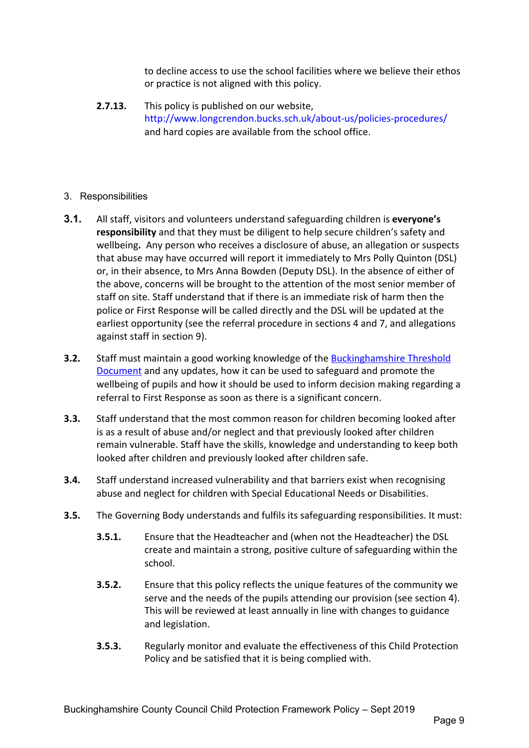to decline access to use the school facilities where we believe their ethos or practice is not aligned with this policy.

**2.7.13.** This policy is published on our website, http://www.longcrendon.bucks.sch.uk/about-us/policies-procedures/ and hard copies are available from the school office.

### 3. Responsibilities

- **3.1.** All staff, visitors and volunteers understand safeguarding children is **everyone's responsibility** and that they must be diligent to help secure children's safety and wellbeing**.** Any person who receives a disclosure of abuse, an allegation or suspects that abuse may have occurred will report it immediately to Mrs Polly Quinton (DSL) or, in their absence, to Mrs Anna Bowden (Deputy DSL). In the absence of either of the above, concerns will be brought to the attention of the most senior member of staff on site. Staff understand that if there is an immediate risk of harm then the police or First Response will be called directly and the DSL will be updated at the earliest opportunity (see the referral procedure in sections 4 and 7, and allegations against staff in section 9).
- **3.2.** Staff must maintain a good working knowledge of the **[Buckinghamshire Threshold](https://www.bucks-lscb.org.uk/professionals/thresholds-document/)** [Document](https://www.bucks-lscb.org.uk/professionals/thresholds-document/) and any updates, how it can be used to safeguard and promote the wellbeing of pupils and how it should be used to inform decision making regarding a referral to First Response as soon as there is a significant concern.
- **3.3.** Staff understand that the most common reason for children becoming looked after is as a result of abuse and/or neglect and that previously looked after children remain vulnerable. Staff have the skills, knowledge and understanding to keep both looked after children and previously looked after children safe.
- **3.4.** Staff understand increased vulnerability and that barriers exist when recognising abuse and neglect for children with Special Educational Needs or Disabilities.
- **3.5.** The Governing Body understands and fulfils its safeguarding responsibilities. It must:
	- **3.5.1.** Ensure that the Headteacher and (when not the Headteacher) the DSL create and maintain a strong, positive culture of safeguarding within the school.
	- **3.5.2.** Ensure that this policy reflects the unique features of the community we serve and the needs of the pupils attending our provision (see section 4). This will be reviewed at least annually in line with changes to guidance and legislation.
	- **3.5.3.** Regularly monitor and evaluate the effectiveness of this Child Protection Policy and be satisfied that it is being complied with.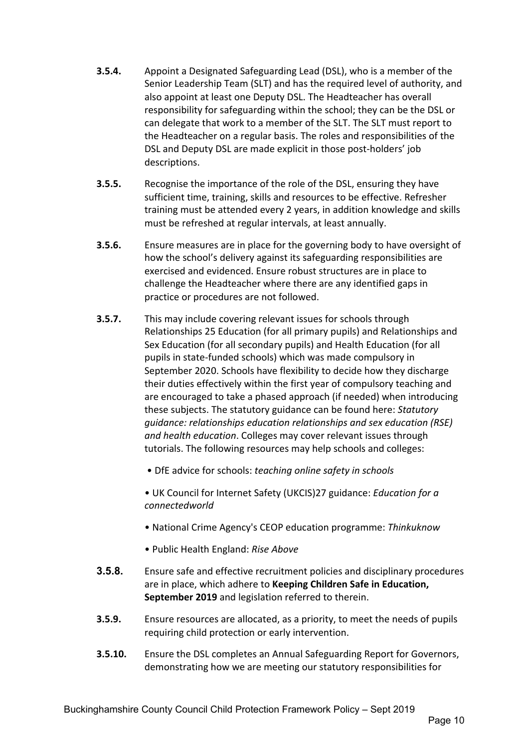- **3.5.4.** Appoint a Designated Safeguarding Lead (DSL), who is a member of the Senior Leadership Team (SLT) and has the required level of authority, and also appoint at least one Deputy DSL. The Headteacher has overall responsibility for safeguarding within the school; they can be the DSL or can delegate that work to a member of the SLT. The SLT must report to the Headteacher on a regular basis. The roles and responsibilities of the DSL and Deputy DSL are made explicit in those post-holders' job descriptions.
- **3.5.5.** Recognise the importance of the role of the DSL, ensuring they have sufficient time, training, skills and resources to be effective. Refresher training must be attended every 2 years, in addition knowledge and skills must be refreshed at regular intervals, at least annually.
- **3.5.6.** Ensure measures are in place for the governing body to have oversight of how the school's delivery against its safeguarding responsibilities are exercised and evidenced. Ensure robust structures are in place to challenge the Headteacher where there are any identified gaps in practice or procedures are not followed.
- **3.5.7.** This may include covering relevant issues for schools through Relationships 25 Education (for all primary pupils) and Relationships and Sex Education (for all secondary pupils) and Health Education (for all pupils in state-funded schools) which was made compulsory in September 2020. Schools have flexibility to decide how they discharge their duties effectively within the first year of compulsory teaching and are encouraged to take a phased approach (if needed) when introducing these subjects. The statutory guidance can be found here: *Statutory guidance: relationships education relationships and sex education (RSE) and health education*. Colleges may cover relevant issues through tutorials. The following resources may help schools and colleges:
	- DfE advice for schools: *teaching online safety in schools*

• UK Council for Internet Safety (UKCIS)27 guidance: *Education for a connectedworld*

- National Crime Agency's CEOP education programme: *Thinkuknow*
- Public Health England: *Rise Above*
- **3.5.8.** Ensure safe and effective recruitment policies and disciplinary procedures are in place, which adhere to **Keeping Children Safe in Education, September 2019** and legislation referred to therein.
- **3.5.9.** Ensure resources are allocated, as a priority, to meet the needs of pupils requiring child protection or early intervention.
- **3.5.10.** Ensure the DSL completes an Annual Safeguarding Report for Governors, demonstrating how we are meeting our statutory responsibilities for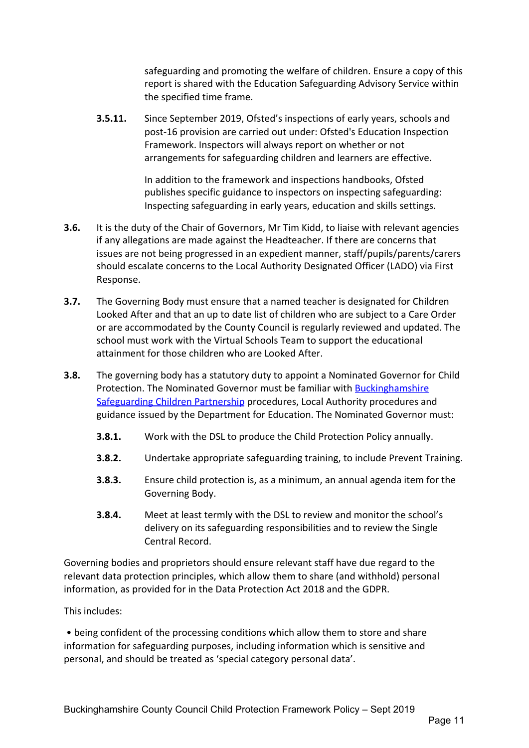safeguarding and promoting the welfare of children. Ensure a copy of this report is shared with the Education Safeguarding Advisory Service within the specified time frame.

**3.5.11.** Since September 2019, Ofsted's inspections of early years, schools and post-16 provision are carried out under: Ofsted's Education Inspection Framework. Inspectors will always report on whether or not arrangements for safeguarding children and learners are effective.

> In addition to the framework and inspections handbooks, Ofsted publishes specific guidance to inspectors on inspecting safeguarding: Inspecting safeguarding in early years, education and skills settings.

- **3.6.** It is the duty of the Chair of Governors, Mr Tim Kidd, to liaise with relevant agencies if any allegations are made against the Headteacher. If there are concerns that issues are not being progressed in an expedient manner, staff/pupils/parents/carers should escalate concerns to the Local Authority Designated Officer (LADO) via First Response.
- **3.7.** The Governing Body must ensure that a named teacher is designated for Children Looked After and that an up to date list of children who are subject to a Care Order or are accommodated by the County Council is regularly reviewed and updated. The school must work with the Virtual Schools Team to support the educational attainment for those children who are Looked After.
- **3.8.** The governing body has a statutory duty to appoint a Nominated Governor for Child Protection. The Nominated Governor must be familiar with **[Buckinghamshire](https://www.bucks-lscb.org.uk/)** [Safeguarding Children Partnership](https://www.bucks-lscb.org.uk/) procedures, Local Authority procedures and guidance issued by the Department for Education. The Nominated Governor must:
	- **3.8.1.** Work with the DSL to produce the Child Protection Policy annually.
	- **3.8.2.** Undertake appropriate safeguarding training, to include Prevent Training.
	- **3.8.3.** Ensure child protection is, as a minimum, an annual agenda item for the Governing Body.
	- **3.8.4.** Meet at least termly with the DSL to review and monitor the school's delivery on its safeguarding responsibilities and to review the Single Central Record.

Governing bodies and proprietors should ensure relevant staff have due regard to the relevant data protection principles, which allow them to share (and withhold) personal information, as provided for in the Data Protection Act 2018 and the GDPR.

### This includes:

 • being confident of the processing conditions which allow them to store and share information for safeguarding purposes, including information which is sensitive and personal, and should be treated as 'special category personal data'.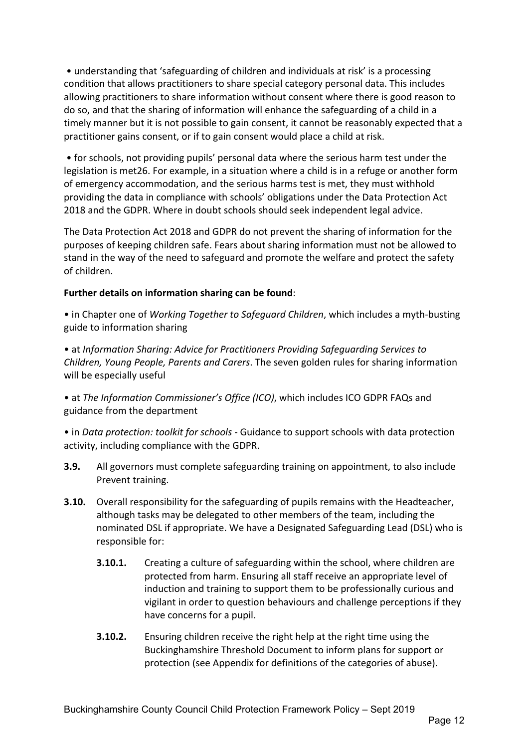• understanding that 'safeguarding of children and individuals at risk' is a processing condition that allows practitioners to share special category personal data. This includes allowing practitioners to share information without consent where there is good reason to do so, and that the sharing of information will enhance the safeguarding of a child in a timely manner but it is not possible to gain consent, it cannot be reasonably expected that a practitioner gains consent, or if to gain consent would place a child at risk.

 • for schools, not providing pupils' personal data where the serious harm test under the legislation is met26. For example, in a situation where a child is in a refuge or another form of emergency accommodation, and the serious harms test is met, they must withhold providing the data in compliance with schools' obligations under the Data Protection Act 2018 and the GDPR. Where in doubt schools should seek independent legal advice.

The Data Protection Act 2018 and GDPR do not prevent the sharing of information for the purposes of keeping children safe. Fears about sharing information must not be allowed to stand in the way of the need to safeguard and promote the welfare and protect the safety of children.

### **Further details on information sharing can be found**:

• in Chapter one of *Working Together to Safeguard Children*, which includes a myth-busting guide to information sharing

• at *Information Sharing: Advice for Practitioners Providing Safeguarding Services to Children, Young People, Parents and Carers*. The seven golden rules for sharing information will be especially useful

• at *The Information Commissioner's Office (ICO)*, which includes ICO GDPR FAQs and guidance from the department

• in *Data protection: toolkit for schools* - Guidance to support schools with data protection activity, including compliance with the GDPR.

- **3.9.** All governors must complete safeguarding training on appointment, to also include Prevent training.
- **3.10.** Overall responsibility for the safeguarding of pupils remains with the Headteacher, although tasks may be delegated to other members of the team, including the nominated DSL if appropriate. We have a Designated Safeguarding Lead (DSL) who is responsible for:
	- **3.10.1.** Creating a culture of safeguarding within the school, where children are protected from harm. Ensuring all staff receive an appropriate level of induction and training to support them to be professionally curious and vigilant in order to question behaviours and challenge perceptions if they have concerns for a pupil.
	- **3.10.2.** Ensuring children receive the right help at the right time using the Buckinghamshire Threshold Document to inform plans for support or protection (see Appendix for definitions of the categories of abuse).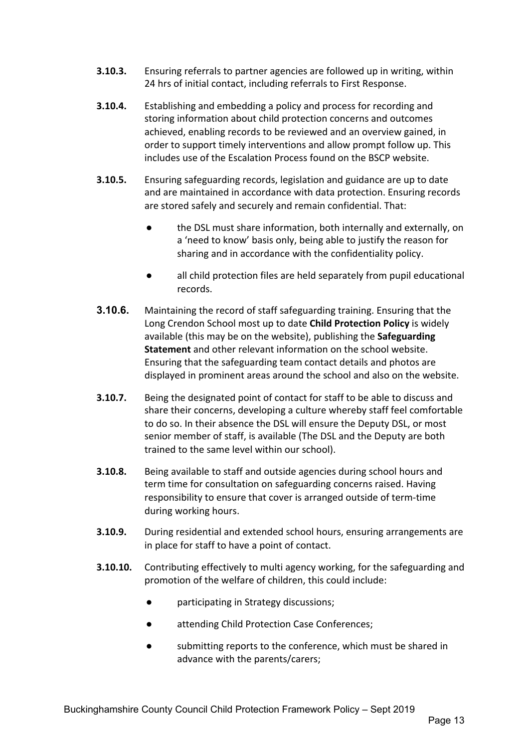- **3.10.3.** Ensuring referrals to partner agencies are followed up in writing, within 24 hrs of initial contact, including referrals to First Response.
- **3.10.4.** Establishing and embedding a policy and process for recording and storing information about child protection concerns and outcomes achieved, enabling records to be reviewed and an overview gained, in order to support timely interventions and allow prompt follow up. This includes use of the Escalation Process found on the BSCP website.
- **3.10.5.** Ensuring safeguarding records, legislation and guidance are up to date and are maintained in accordance with data protection. Ensuring records are stored safely and securely and remain confidential. That:
	- **●** the DSL must share information, both internally and externally, on a 'need to know' basis only, being able to justify the reason for sharing and in accordance with the confidentiality policy.
	- all child protection files are held separately from pupil educational records.
- **3.10.6.** Maintaining the record of staff safeguarding training. Ensuring that the Long Crendon School most up to date **Child Protection Policy** is widely available (this may be on the website), publishing the **Safeguarding Statement** and other relevant information on the school website. Ensuring that the safeguarding team contact details and photos are displayed in prominent areas around the school and also on the website.
- **3.10.7.** Being the designated point of contact for staff to be able to discuss and share their concerns, developing a culture whereby staff feel comfortable to do so. In their absence the DSL will ensure the Deputy DSL, or most senior member of staff, is available (The DSL and the Deputy are both trained to the same level within our school).
- **3.10.8.** Being available to staff and outside agencies during school hours and term time for consultation on safeguarding concerns raised. Having responsibility to ensure that cover is arranged outside of term-time during working hours.
- **3.10.9.** During residential and extended school hours, ensuring arrangements are in place for staff to have a point of contact.
- **3.10.10.** Contributing effectively to multi agency working, for the safeguarding and promotion of the welfare of children, this could include:
	- **●** participating in Strategy discussions;
	- attending Child Protection Case Conferences;
	- submitting reports to the conference, which must be shared in advance with the parents/carers;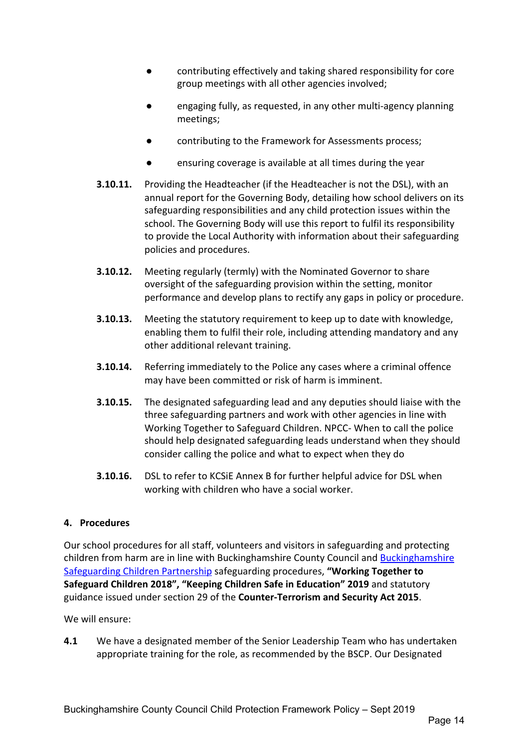- **●** contributing effectively and taking shared responsibility for core group meetings with all other agencies involved;
- engaging fully, as requested, in any other multi-agency planning meetings;
- **●** contributing to the Framework for Assessments process;
- **●** ensuring coverage is available at all times during the year
- **3.10.11.** Providing the Headteacher (if the Headteacher is not the DSL), with an annual report for the Governing Body, detailing how school delivers on its safeguarding responsibilities and any child protection issues within the school. The Governing Body will use this report to fulfil its responsibility to provide the Local Authority with information about their safeguarding policies and procedures.
- **3.10.12.** Meeting regularly (termly) with the Nominated Governor to share oversight of the safeguarding provision within the setting, monitor performance and develop plans to rectify any gaps in policy or procedure.
- **3.10.13.** Meeting the statutory requirement to keep up to date with knowledge, enabling them to fulfil their role, including attending mandatory and any other additional relevant training.
- **3.10.14.** Referring immediately to the Police any cases where a criminal offence may have been committed or risk of harm is imminent.
- **3.10.15.** The designated safeguarding lead and any deputies should liaise with the three safeguarding partners and work with other agencies in line with Working Together to Safeguard Children. NPCC- When to call the police should help designated safeguarding leads understand when they should consider calling the police and what to expect when they do
- **3.10.16.** DSL to refer to KCSiE Annex B for further helpful advice for DSL when working with children who have a social worker.

### **4. Procedures**

Our school procedures for all staff, volunteers and visitors in safeguarding and protecting children from harm are in line with [Buckinghamshire](https://www.bucks-lscb.org.uk/) County Council and Buckinghamshire [Safeguarding Children Partnership](https://www.bucks-lscb.org.uk/) safeguarding procedures, **"Working Together to Safeguard Children 2018", "Keeping Children Safe in Education" 2019** and statutory guidance issued under section 29 of the **Counter-Terrorism and Security Act 2015**.

We will ensure:

**4.1** We have a designated member of the Senior Leadership Team who has undertaken appropriate training for the role, as recommended by the BSCP. Our Designated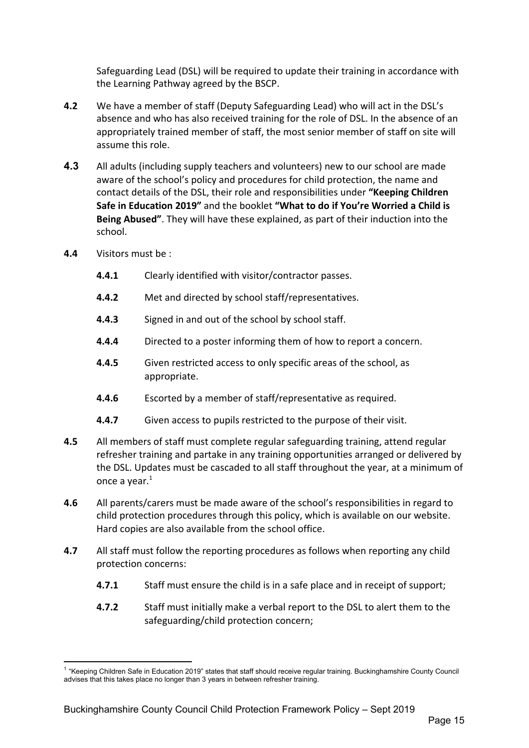Safeguarding Lead (DSL) will be required to update their training in accordance with the Learning Pathway agreed by the BSCP.

- **4.2** We have a member of staff (Deputy Safeguarding Lead) who will act in the DSL's absence and who has also received training for the role of DSL. In the absence of an appropriately trained member of staff, the most senior member of staff on site will assume this role.
- **4.3** All adults (including supply teachers and volunteers) new to our school are made aware of the school's policy and procedures for child protection, the name and contact details of the DSL, their role and responsibilities under **"Keeping Children Safe in Education 2019"** and the booklet **"What to do if You're Worried a Child is Being Abused"**. They will have these explained, as part of their induction into the school.
- **4.4** Visitors must be :
	- **4.4.1** Clearly identified with visitor/contractor passes.
	- **4.4.2** Met and directed by school staff/representatives.
	- **4.4.3** Signed in and out of the school by school staff.
	- **4.4.4** Directed to a poster informing them of how to report a concern.
	- **4.4.5** Given restricted access to only specific areas of the school, as appropriate.
	- **4.4.6** Escorted by a member of staff/representative as required.
	- **4.4.7** Given access to pupils restricted to the purpose of their visit.
- **4.5** All members of staff must complete regular safeguarding training, attend regular refresher training and partake in any training opportunities arranged or delivered by the DSL. Updates must be cascaded to all staff throughout the year, at a minimum of once a year. $<sup>1</sup>$ </sup>
- **4.6** All parents/carers must be made aware of the school's responsibilities in regard to child protection procedures through this policy, which is available on our website. Hard copies are also available from the school office.
- **4.7** All staff must follow the reporting procedures as follows when reporting any child protection concerns:
	- **4.7.1** Staff must ensure the child is in a safe place and in receipt of support;
	- **4.7.2** Staff must initially make a verbal report to the DSL to alert them to the safeguarding/child protection concern;

<sup>&</sup>lt;sup>1</sup> "Keeping Children Safe in Education 2019" states that staff should receive regular training. Buckinghamshire County Council advises that this takes place no longer than 3 years in between refresher training.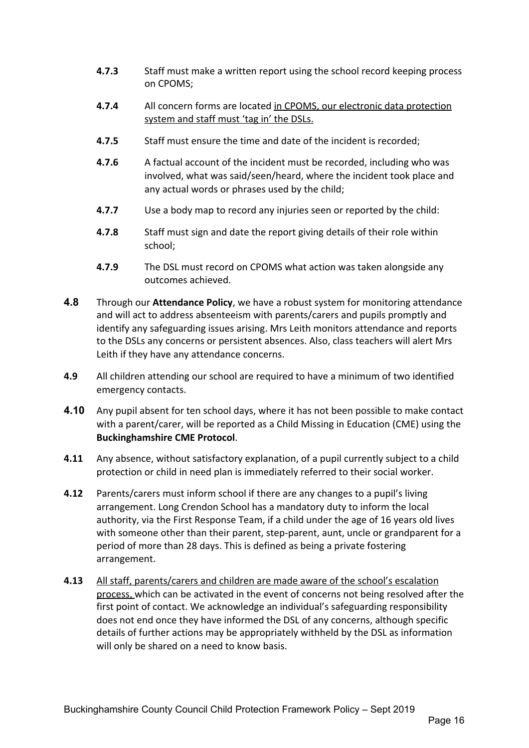- **4.7.3** Staff must make a written report using the school record keeping process on CPOMS;
- **4.7.4** All concern forms are located in CPOMS, our electronic data protection system and staff must 'tag in' the DSLs.
- **4.7.5** Staff must ensure the time and date of the incident is recorded;
- **4.7.6** A factual account of the incident must be recorded, including who was involved, what was said/seen/heard, where the incident took place and any actual words or phrases used by the child;
- **4.7.7** Use a body map to record any injuries seen or reported by the child:
- **4.7.8** Staff must sign and date the report giving details of their role within school;
- **4.7.9** The DSL must record on CPOMS what action was taken alongside any outcomes achieved.
- **4.8** Through our **Attendance Policy**, we have a robust system for monitoring attendance and will act to address absenteeism with parents/carers and pupils promptly and identify any safeguarding issues arising. Mrs Leith monitors attendance and reports to the DSLs any concerns or persistent absences. Also, class teachers will alert Mrs Leith if they have any attendance concerns.
- **4.9** All children attending our school are required to have a minimum of two identified emergency contacts.
- **4.10** Any pupil absent for ten school days, where it has not been possible to make contact with a parent/carer, will be reported as a Child Missing in Education (CME) using the **Buckinghamshire CME Protocol**.
- **4.11** Any absence, without satisfactory explanation, of a pupil currently subject to a child protection or child in need plan is immediately referred to their social worker.
- **4.12** Parents/carers must inform school if there are any changes to a pupil's living arrangement. Long Crendon School has a mandatory duty to inform the local authority, via the First Response Team, if a child under the age of 16 years old lives with someone other than their parent, step-parent, aunt, uncle or grandparent for a period of more than 28 days. This is defined as being a private fostering arrangement.
- **4.13** All staff, parents/carers and children are made aware of the school's escalation process, which can be activated in the event of concerns not being resolved after the first point of contact. We acknowledge an individual's safeguarding responsibility does not end once they have informed the DSL of any concerns, although specific details of further actions may be appropriately withheld by the DSL as information will only be shared on a need to know basis.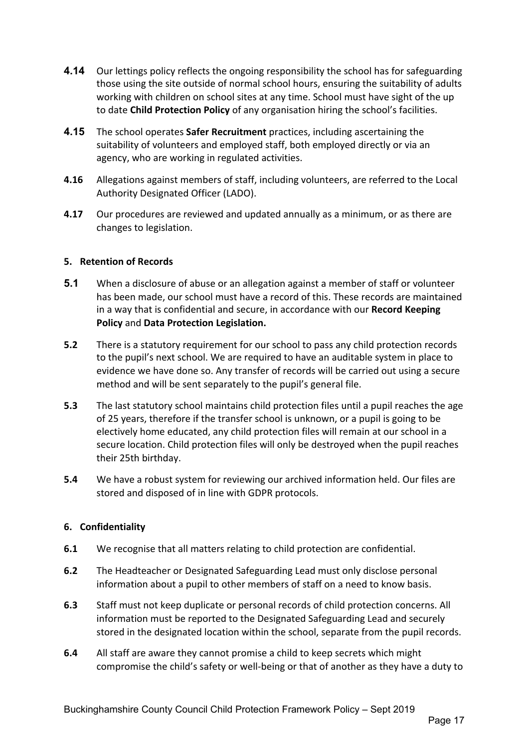- **4.14** Our lettings policy reflects the ongoing responsibility the school has for safeguarding those using the site outside of normal school hours, ensuring the suitability of adults working with children on school sites at any time. School must have sight of the up to date **Child Protection Policy** of any organisation hiring the school's facilities.
- **4.15** The school operates **Safer Recruitment** practices, including ascertaining the suitability of volunteers and employed staff, both employed directly or via an agency, who are working in regulated activities.
- **4.16** Allegations against members of staff, including volunteers, are referred to the Local Authority Designated Officer (LADO).
- **4.17** Our procedures are reviewed and updated annually as a minimum, or as there are changes to legislation.

### **5. Retention of Records**

- **5.1** When a disclosure of abuse or an allegation against a member of staff or volunteer has been made, our school must have a record of this. These records are maintained in a way that is confidential and secure, in accordance with our **Record Keeping Policy** and **Data Protection Legislation.**
- **5.2** There is a statutory requirement for our school to pass any child protection records to the pupil's next school. We are required to have an auditable system in place to evidence we have done so. Any transfer of records will be carried out using a secure method and will be sent separately to the pupil's general file.
- **5.3** The last statutory school maintains child protection files until a pupil reaches the age of 25 years, therefore if the transfer school is unknown, or a pupil is going to be electively home educated, any child protection files will remain at our school in a secure location. Child protection files will only be destroyed when the pupil reaches their 25th birthday.
- **5.4** We have a robust system for reviewing our archived information held. Our files are stored and disposed of in line with GDPR protocols.

### **6. Confidentiality**

- **6.1** We recognise that all matters relating to child protection are confidential.
- **6.2** The Headteacher or Designated Safeguarding Lead must only disclose personal information about a pupil to other members of staff on a need to know basis.
- **6.3** Staff must not keep duplicate or personal records of child protection concerns. All information must be reported to the Designated Safeguarding Lead and securely stored in the designated location within the school, separate from the pupil records.
- **6.4** All staff are aware they cannot promise a child to keep secrets which might compromise the child's safety or well-being or that of another as they have a duty to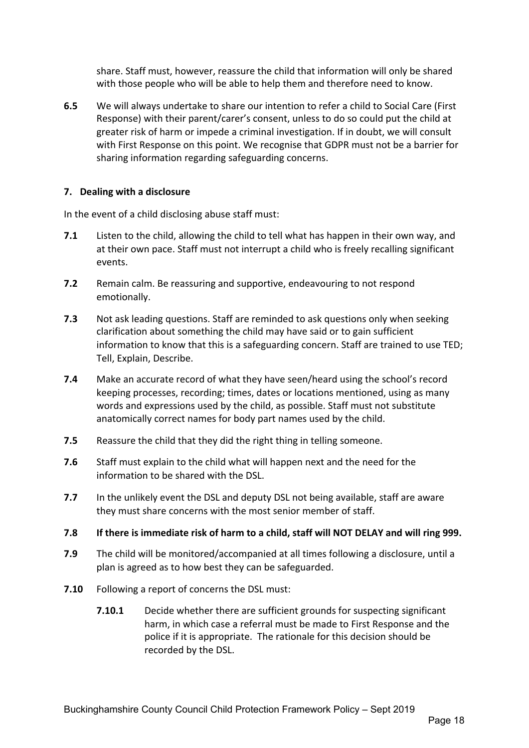share. Staff must, however, reassure the child that information will only be shared with those people who will be able to help them and therefore need to know.

**6.5** We will always undertake to share our intention to refer a child to Social Care (First Response) with their parent/carer's consent, unless to do so could put the child at greater risk of harm or impede a criminal investigation. If in doubt, we will consult with First Response on this point. We recognise that GDPR must not be a barrier for sharing information regarding safeguarding concerns.

### **7. Dealing with a disclosure**

In the event of a child disclosing abuse staff must:

- **7.1** Listen to the child, allowing the child to tell what has happen in their own way, and at their own pace. Staff must not interrupt a child who is freely recalling significant events.
- **7.2** Remain calm. Be reassuring and supportive, endeavouring to not respond emotionally.
- **7.3** Not ask leading questions. Staff are reminded to ask questions only when seeking clarification about something the child may have said or to gain sufficient information to know that this is a safeguarding concern. Staff are trained to use TED; Tell, Explain, Describe.
- **7.4** Make an accurate record of what they have seen/heard using the school's record keeping processes, recording; times, dates or locations mentioned, using as many words and expressions used by the child, as possible. Staff must not substitute anatomically correct names for body part names used by the child.
- **7.5** Reassure the child that they did the right thing in telling someone.
- **7.6** Staff must explain to the child what will happen next and the need for the information to be shared with the DSL.
- **7.7** In the unlikely event the DSL and deputy DSL not being available, staff are aware they must share concerns with the most senior member of staff.

### **7.8 If there is immediate risk of harm to a child, staff will NOT DELAY and will ring 999.**

- **7.9** The child will be monitored/accompanied at all times following a disclosure, until a plan is agreed as to how best they can be safeguarded.
- **7.10** Following a report of concerns the DSL must:
	- **7.10.1** Decide whether there are sufficient grounds for suspecting significant harm, in which case a referral must be made to First Response and the police if it is appropriate. The rationale for this decision should be recorded by the DSL.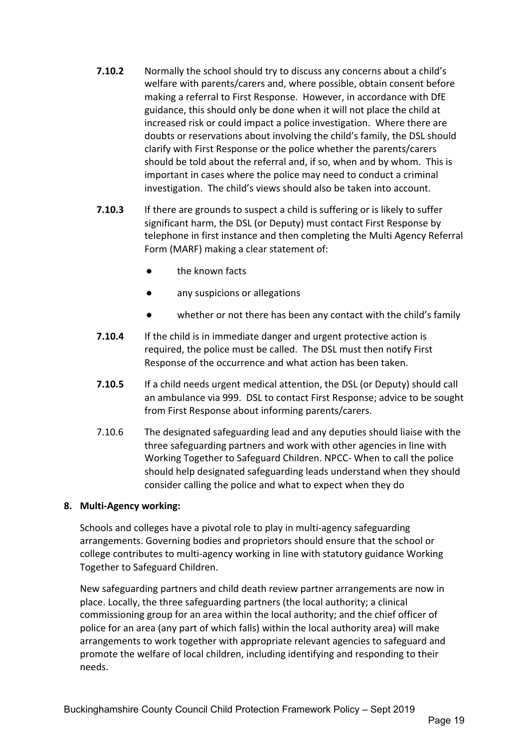- **7.10.2** Normally the school should try to discuss any concerns about a child's welfare with parents/carers and, where possible, obtain consent before making a referral to First Response. However, in accordance with DfE guidance, this should only be done when it will not place the child at increased risk or could impact a police investigation. Where there are doubts or reservations about involving the child's family, the DSL should clarify with First Response or the police whether the parents/carers should be told about the referral and, if so, when and by whom. This is important in cases where the police may need to conduct a criminal investigation. The child's views should also be taken into account.
- **7.10.3** If there are grounds to suspect a child is suffering or is likely to suffer significant harm, the DSL (or Deputy) must contact First Response by telephone in first instance and then completing the Multi Agency Referral Form (MARF) making a clear statement of:
	- **●** the known facts
	- any suspicions or allegations
	- whether or not there has been any contact with the child's family
- **7.10.4** If the child is in immediate danger and urgent protective action is required, the police must be called. The DSL must then notify First Response of the occurrence and what action has been taken.
- **7.10.5** If a child needs urgent medical attention, the DSL (or Deputy) should call an ambulance via 999. DSL to contact First Response; advice to be sought from First Response about informing parents/carers.
- 7.10.6 The designated safeguarding lead and any deputies should liaise with the three safeguarding partners and work with other agencies in line with Working Together to Safeguard Children. NPCC- When to call the police should help designated safeguarding leads understand when they should consider calling the police and what to expect when they do

### **8. Multi-Agency working:**

Schools and colleges have a pivotal role to play in multi-agency safeguarding arrangements. Governing bodies and proprietors should ensure that the school or college contributes to multi-agency working in line with statutory guidance Working Together to Safeguard Children.

New safeguarding partners and child death review partner arrangements are now in place. Locally, the three safeguarding partners (the local authority; a clinical commissioning group for an area within the local authority; and the chief officer of police for an area (any part of which falls) within the local authority area) will make arrangements to work together with appropriate relevant agencies to safeguard and promote the welfare of local children, including identifying and responding to their needs.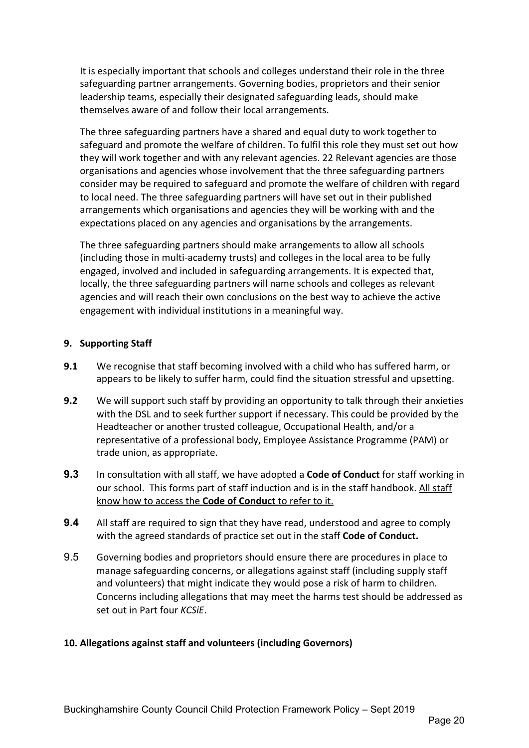It is especially important that schools and colleges understand their role in the three safeguarding partner arrangements. Governing bodies, proprietors and their senior leadership teams, especially their designated safeguarding leads, should make themselves aware of and follow their local arrangements.

The three safeguarding partners have a shared and equal duty to work together to safeguard and promote the welfare of children. To fulfil this role they must set out how they will work together and with any relevant agencies. 22 Relevant agencies are those organisations and agencies whose involvement that the three safeguarding partners consider may be required to safeguard and promote the welfare of children with regard to local need. The three safeguarding partners will have set out in their published arrangements which organisations and agencies they will be working with and the expectations placed on any agencies and organisations by the arrangements.

The three safeguarding partners should make arrangements to allow all schools (including those in multi-academy trusts) and colleges in the local area to be fully engaged, involved and included in safeguarding arrangements. It is expected that, locally, the three safeguarding partners will name schools and colleges as relevant agencies and will reach their own conclusions on the best way to achieve the active engagement with individual institutions in a meaningful way.

### **9. Supporting Staff**

- **9.1** We recognise that staff becoming involved with a child who has suffered harm, or appears to be likely to suffer harm, could find the situation stressful and upsetting.
- **9.2** We will support such staff by providing an opportunity to talk through their anxieties with the DSL and to seek further support if necessary. This could be provided by the Headteacher or another trusted colleague, Occupational Health, and/or a representative of a professional body, Employee Assistance Programme (PAM) or trade union, as appropriate.
- **9.3** In consultation with all staff, we have adopted a **Code of Conduct** for staff working in our school. This forms part of staff induction and is in the staff handbook. All staff know how to access the **Code of Conduct** to refer to it.
- **9.4** All staff are required to sign that they have read, understood and agree to comply with the agreed standards of practice set out in the staff **Code of Conduct.**
- 9.5 Governing bodies and proprietors should ensure there are procedures in place to manage safeguarding concerns, or allegations against staff (including supply staff and volunteers) that might indicate they would pose a risk of harm to children. Concerns including allegations that may meet the harms test should be addressed as set out in Part four *KCSiE*.

#### **10. Allegations against staff and volunteers (including Governors)**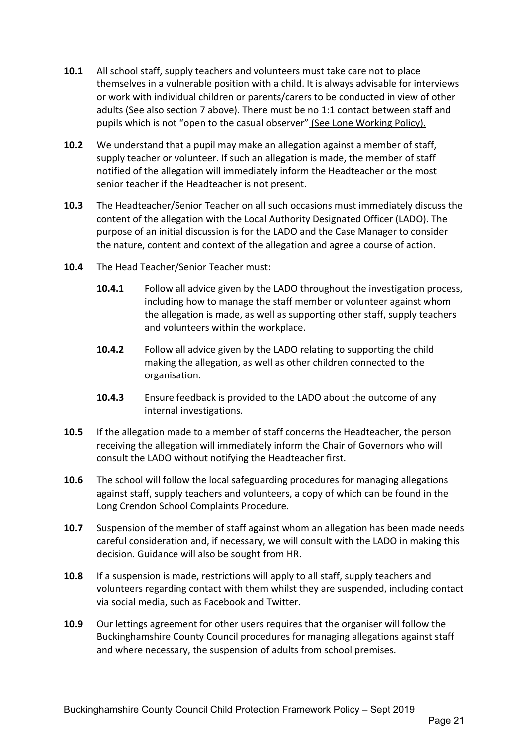- **10.1** All school staff, supply teachers and volunteers must take care not to place themselves in a vulnerable position with a child. It is always advisable for interviews or work with individual children or parents/carers to be conducted in view of other adults (See also section 7 above). There must be no 1:1 contact between staff and pupils which is not "open to the casual observer" (See Lone Working Policy).
- **10.2** We understand that a pupil may make an allegation against a member of staff, supply teacher or volunteer. If such an allegation is made, the member of staff notified of the allegation will immediately inform the Headteacher or the most senior teacher if the Headteacher is not present.
- **10.3** The Headteacher/Senior Teacher on all such occasions must immediately discuss the content of the allegation with the Local Authority Designated Officer (LADO). The purpose of an initial discussion is for the LADO and the Case Manager to consider the nature, content and context of the allegation and agree a course of action.
- **10.4** The Head Teacher/Senior Teacher must:
	- **10.4.1** Follow all advice given by the LADO throughout the investigation process, including how to manage the staff member or volunteer against whom the allegation is made, as well as supporting other staff, supply teachers and volunteers within the workplace.
	- **10.4.2** Follow all advice given by the LADO relating to supporting the child making the allegation, as well as other children connected to the organisation.
	- **10.4.3** Ensure feedback is provided to the LADO about the outcome of any internal investigations.
- **10.5** If the allegation made to a member of staff concerns the Headteacher, the person receiving the allegation will immediately inform the Chair of Governors who will consult the LADO without notifying the Headteacher first.
- **10.6** The school will follow the local safeguarding procedures for managing allegations against staff, supply teachers and volunteers, a copy of which can be found in the Long Crendon School Complaints Procedure.
- **10.7** Suspension of the member of staff against whom an allegation has been made needs careful consideration and, if necessary, we will consult with the LADO in making this decision. Guidance will also be sought from HR.
- **10.8** If a suspension is made, restrictions will apply to all staff, supply teachers and volunteers regarding contact with them whilst they are suspended, including contact via social media, such as Facebook and Twitter.
- **10.9** Our lettings agreement for other users requires that the organiser will follow the Buckinghamshire County Council procedures for managing allegations against staff and where necessary, the suspension of adults from school premises.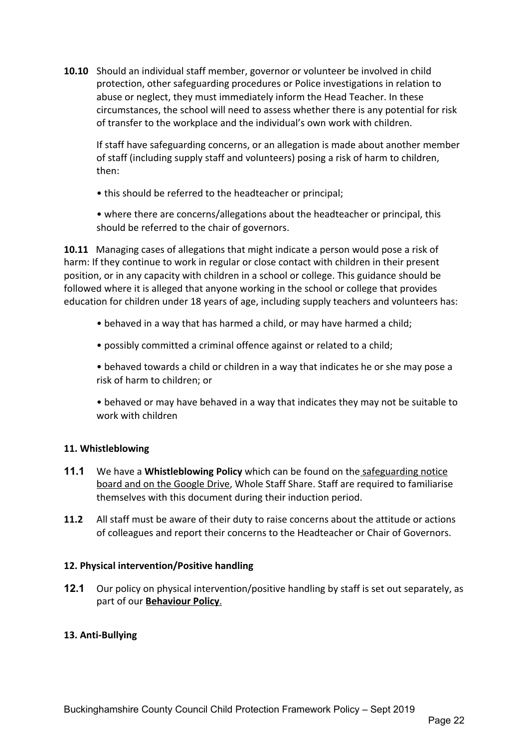**10.10** Should an individual staff member, governor or volunteer be involved in child protection, other safeguarding procedures or Police investigations in relation to abuse or neglect, they must immediately inform the Head Teacher. In these circumstances, the school will need to assess whether there is any potential for risk of transfer to the workplace and the individual's own work with children.

If staff have safeguarding concerns, or an allegation is made about another member of staff (including supply staff and volunteers) posing a risk of harm to children, then:

- this should be referred to the headteacher or principal;
- where there are concerns/allegations about the headteacher or principal, this should be referred to the chair of governors.

**10.11** Managing cases of allegations that might indicate a person would pose a risk of harm: If they continue to work in regular or close contact with children in their present position, or in any capacity with children in a school or college. This guidance should be followed where it is alleged that anyone working in the school or college that provides education for children under 18 years of age, including supply teachers and volunteers has:

- behaved in a way that has harmed a child, or may have harmed a child;
- possibly committed a criminal offence against or related to a child;

• behaved towards a child or children in a way that indicates he or she may pose a risk of harm to children; or

• behaved or may have behaved in a way that indicates they may not be suitable to work with children

### **11. Whistleblowing**

- **11.1** We have a **Whistleblowing Policy** which can be found on the safeguarding notice board and on the Google Drive, Whole Staff Share. Staff are required to familiarise themselves with this document during their induction period.
- **11.2** All staff must be aware of their duty to raise concerns about the attitude or actions of colleagues and report their concerns to the Headteacher or Chair of Governors.

### **12. Physical intervention/Positive handling**

**12.1** Our policy on physical intervention/positive handling by staff is set out separately, as part of our **Behaviour Policy**.

### **13. Anti-Bullying**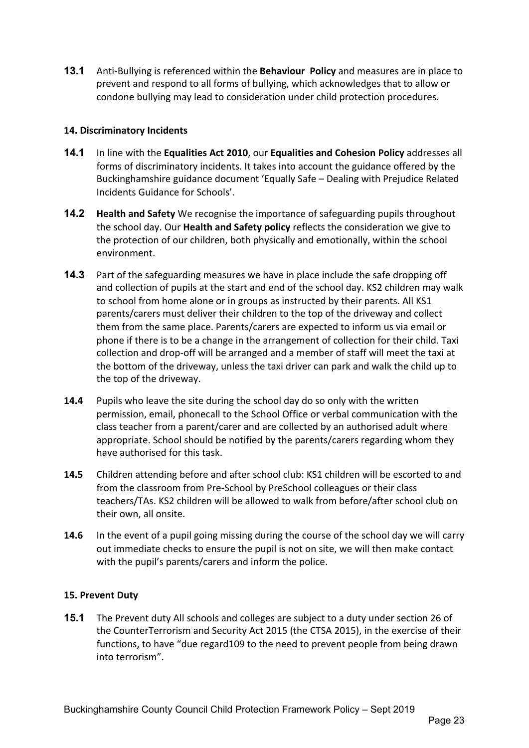**13.1** Anti-Bullying is referenced within the **Behaviour Policy** and measures are in place to prevent and respond to all forms of bullying, which acknowledges that to allow or condone bullying may lead to consideration under child protection procedures.

### **14. Discriminatory Incidents**

- **14.1** In line with the **Equalities Act 2010**, our **Equalities and Cohesion Policy** addresses all forms of discriminatory incidents. It takes into account the guidance offered by the Buckinghamshire guidance document 'Equally Safe – Dealing with Prejudice Related Incidents Guidance for Schools'.
- **14.2 Health and Safety** We recognise the importance of safeguarding pupils throughout the school day. Our **Health and Safety policy** reflects the consideration we give to the protection of our children, both physically and emotionally, within the school environment.
- **14.3** Part of the safeguarding measures we have in place include the safe dropping off and collection of pupils at the start and end of the school day. KS2 children may walk to school from home alone or in groups as instructed by their parents. All KS1 parents/carers must deliver their children to the top of the driveway and collect them from the same place. Parents/carers are expected to inform us via email or phone if there is to be a change in the arrangement of collection for their child. Taxi collection and drop-off will be arranged and a member of staff will meet the taxi at the bottom of the driveway, unless the taxi driver can park and walk the child up to the top of the driveway.
- **14.4** Pupils who leave the site during the school day do so only with the written permission, email, phonecall to the School Office or verbal communication with the class teacher from a parent/carer and are collected by an authorised adult where appropriate. School should be notified by the parents/carers regarding whom they have authorised for this task.
- **14.5** Children attending before and after school club: KS1 children will be escorted to and from the classroom from Pre-School by PreSchool colleagues or their class teachers/TAs. KS2 children will be allowed to walk from before/after school club on their own, all onsite.
- **14.6** In the event of a pupil going missing during the course of the school day we will carry out immediate checks to ensure the pupil is not on site, we will then make contact with the pupil's parents/carers and inform the police.

### **15. Prevent Duty**

**15.1** The Prevent duty All schools and colleges are subject to a duty under section 26 of the CounterTerrorism and Security Act 2015 (the CTSA 2015), in the exercise of their functions, to have "due regard109 to the need to prevent people from being drawn into terrorism".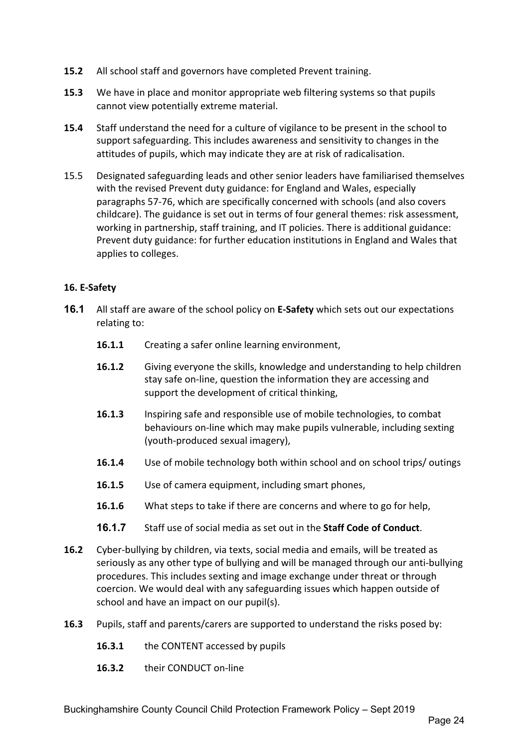- **15.2** All school staff and governors have completed Prevent training.
- **15.3** We have in place and monitor appropriate web filtering systems so that pupils cannot view potentially extreme material.
- **15.4** Staff understand the need for a culture of vigilance to be present in the school to support safeguarding. This includes awareness and sensitivity to changes in the attitudes of pupils, which may indicate they are at risk of radicalisation.
- 15.5 Designated safeguarding leads and other senior leaders have familiarised themselves with the revised Prevent duty guidance: for England and Wales, especially paragraphs 57-76, which are specifically concerned with schools (and also covers childcare). The guidance is set out in terms of four general themes: risk assessment, working in partnership, staff training, and IT policies. There is additional guidance: Prevent duty guidance: for further education institutions in England and Wales that applies to colleges.

### **16. E-Safety**

- **16.1** All staff are aware of the school policy on **E-Safety** which sets out our expectations relating to:
	- 16.1.1 Creating a safer online learning environment,
	- **16.1.2** Giving everyone the skills, knowledge and understanding to help children stay safe on-line, question the information they are accessing and support the development of critical thinking,
	- **16.1.3** Inspiring safe and responsible use of mobile technologies, to combat behaviours on-line which may make pupils vulnerable, including sexting (youth-produced sexual imagery),
	- **16.1.4** Use of mobile technology both within school and on school trips/ outings
	- **16.1.5** Use of camera equipment, including smart phones,
	- **16.1.6** What steps to take if there are concerns and where to go for help,
	- **16.1.7** Staff use of social media as set out in the **Staff Code of Conduct**.
- **16.2** Cyber-bullying by children, via texts, social media and emails, will be treated as seriously as any other type of bullying and will be managed through our anti-bullying procedures. This includes sexting and image exchange under threat or through coercion. We would deal with any safeguarding issues which happen outside of school and have an impact on our pupil(s).
- **16.3** Pupils, staff and parents/carers are supported to understand the risks posed by:
	- 16.3.1 the CONTENT accessed by pupils
	- **16.3.2** their CONDUCT on-line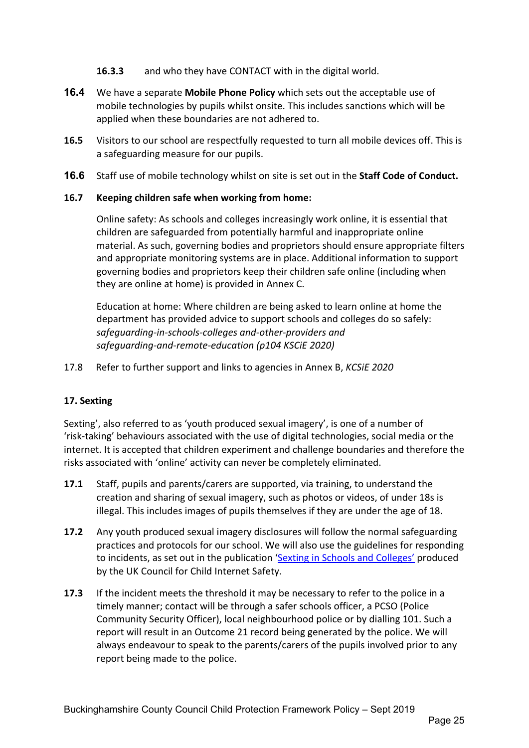**16.3.3** and who they have CONTACT with in the digital world.

- **16.4** We have a separate **Mobile Phone Policy** which sets out the acceptable use of mobile technologies by pupils whilst onsite. This includes sanctions which will be applied when these boundaries are not adhered to.
- **16.5** Visitors to our school are respectfully requested to turn all mobile devices off. This is a safeguarding measure for our pupils.
- **16.6** Staff use of mobile technology whilst on site is set out in the **Staff Code of Conduct.**

### **16.7 Keeping children safe when working from home:**

Online safety: As schools and colleges increasingly work online, it is essential that children are safeguarded from potentially harmful and inappropriate online material. As such, governing bodies and proprietors should ensure appropriate filters and appropriate monitoring systems are in place. Additional information to support governing bodies and proprietors keep their children safe online (including when they are online at home) is provided in Annex C.

Education at home: Where children are being asked to learn online at home the department has provided advice to support schools and colleges do so safely: *safeguarding-in-schools-colleges and-other-providers and safeguarding-and-remote-education (p104 KSCiE 2020)*

17.8 Refer to further support and links to agencies in Annex B, *KCSiE 2020*

### **17. Sexting**

Sexting', also referred to as 'youth produced sexual imagery', is one of a number of 'risk-taking' behaviours associated with the use of digital technologies, social media or the internet. It is accepted that children experiment and challenge boundaries and therefore the risks associated with 'online' activity can never be completely eliminated.

- **17.1** Staff, pupils and parents/carers are supported, via training, to understand the creation and sharing of sexual imagery, such as photos or videos, of under 18s is illegal. This includes images of pupils themselves if they are under the age of 18.
- **17.2** Any youth produced sexual imagery disclosures will follow the normal safeguarding practices and protocols for our school. We will also use the guidelines for responding to incidents, as set out in the publication '[Sexting in Schools and Colleges'](https://www.gov.uk/government/publications/sexting-in-schools-and-colleges) produced by the UK Council for Child Internet Safety.
- **17.3** If the incident meets the threshold it may be necessary to refer to the police in a timely manner; contact will be through a safer schools officer, a PCSO (Police Community Security Officer), local neighbourhood police or by dialling 101. Such a report will result in an Outcome 21 record being generated by the police. We will always endeavour to speak to the parents/carers of the pupils involved prior to any report being made to the police.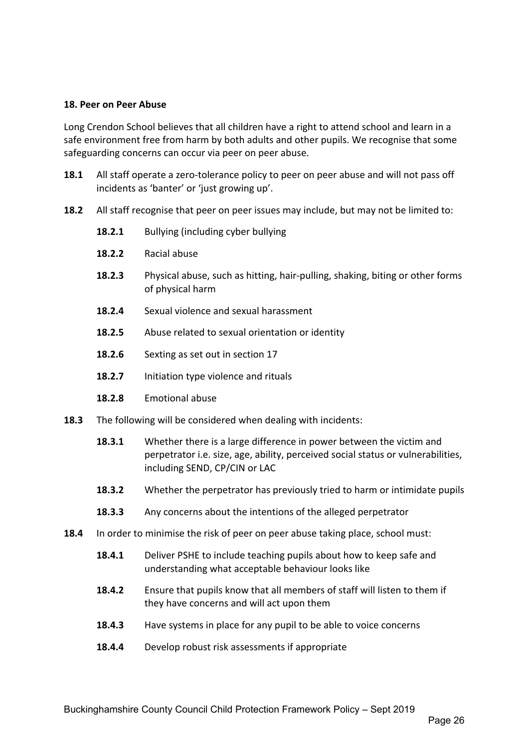#### **18. Peer on Peer Abuse**

Long Crendon School believes that all children have a right to attend school and learn in a safe environment free from harm by both adults and other pupils. We recognise that some safeguarding concerns can occur via peer on peer abuse.

- **18.1** All staff operate a zero-tolerance policy to peer on peer abuse and will not pass off incidents as 'banter' or 'just growing up'.
- **18.2** All staff recognise that peer on peer issues may include, but may not be limited to:
	- **18.2.1** Bullying (including cyber bullying
	- **18.2.2** Racial abuse
	- **18.2.3** Physical abuse, such as hitting, hair-pulling, shaking, biting or other forms of physical harm
	- **18.2.4** Sexual violence and sexual harassment
	- **18.2.5** Abuse related to sexual orientation or identity
	- **18.2.6** Sexting as set out in section 17
	- **18.2.7** Initiation type violence and rituals
	- **18.2.8** Emotional abuse
- **18.3** The following will be considered when dealing with incidents:
	- **18.3.1** Whether there is a large difference in power between the victim and perpetrator i.e. size, age, ability, perceived social status or vulnerabilities, including SEND, CP/CIN or LAC
	- **18.3.2** Whether the perpetrator has previously tried to harm or intimidate pupils
	- **18.3.3** Any concerns about the intentions of the alleged perpetrator
- **18.4** In order to minimise the risk of peer on peer abuse taking place, school must:
	- **18.4.1** Deliver PSHE to include teaching pupils about how to keep safe and understanding what acceptable behaviour looks like
	- **18.4.2** Ensure that pupils know that all members of staff will listen to them if they have concerns and will act upon them
	- **18.4.3** Have systems in place for any pupil to be able to voice concerns
	- **18.4.4** Develop robust risk assessments if appropriate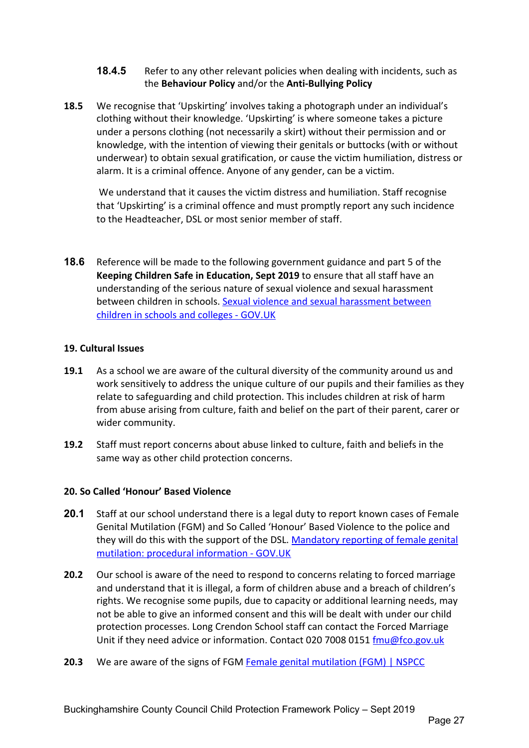### **18.4.5** Refer to any other relevant policies when dealing with incidents, such as the **Behaviour Policy** and/or the **Anti-Bullying Policy**

**18.5** We recognise that 'Upskirting' involves taking a photograph under an individual's clothing without their knowledge. 'Upskirting' is where someone takes a picture under a persons clothing (not necessarily a skirt) without their permission and or knowledge, with the intention of viewing their genitals or buttocks (with or without underwear) to obtain sexual gratification, or cause the victim humiliation, distress or alarm. It is a criminal offence. Anyone of any gender, can be a victim.

 We understand that it causes the victim distress and humiliation. Staff recognise that 'Upskirting' is a criminal offence and must promptly report any such incidence to the Headteacher, DSL or most senior member of staff.

**18.6** Reference will be made to the following government guidance and part 5 of the **Keeping Children Safe in Education, Sept 2019** to ensure that all staff have an understanding of the serious nature of sexual violence and sexual harassment between children in schools. [Sexual violence and sexual harassment between](https://www.gov.uk/government/publications/sexual-violence-and-sexual-harassment-between-children-in-schools-and-colleges) [children in schools and colleges - GOV.UK](https://www.gov.uk/government/publications/sexual-violence-and-sexual-harassment-between-children-in-schools-and-colleges)

### **19. Cultural Issues**

- **19.1** As a school we are aware of the cultural diversity of the community around us and work sensitively to address the unique culture of our pupils and their families as they relate to safeguarding and child protection. This includes children at risk of harm from abuse arising from culture, faith and belief on the part of their parent, carer or wider community.
- **19.2** Staff must report concerns about abuse linked to culture, faith and beliefs in the same way as other child protection concerns.

### **20. So Called 'Honour' Based Violence**

- **20.1** Staff at our school understand there is a legal duty to report known cases of Female Genital Mutilation (FGM) and So Called 'Honour' Based Violence to the police and they will do this with the support of the DSL. [Mandatory reporting of female genital](https://www.gov.uk/government/publications/mandatory-reporting-of-female-genital-mutilation-procedural-information) [mutilation: procedural information - GOV.UK](https://www.gov.uk/government/publications/mandatory-reporting-of-female-genital-mutilation-procedural-information)
- **20.2** Our school is aware of the need to respond to concerns relating to forced marriage and understand that it is illegal, a form of children abuse and a breach of children's rights. We recognise some pupils, due to capacity or additional learning needs, may not be able to give an informed consent and this will be dealt with under our child protection processes. Long Crendon School staff can contact the Forced Marriage Unit if they need advice or information. Contact 020 7008 0151 [fmu@fco.gov.uk](mailto:fmu@fco.gov.uk)
- **20.3** We are aware of the signs of FGM [Female genital mutilation \(FGM\) | NSPCC](https://www.nspcc.org.uk/what-is-child-abuse/types-of-abuse/female-genital-mutilation-fgm/)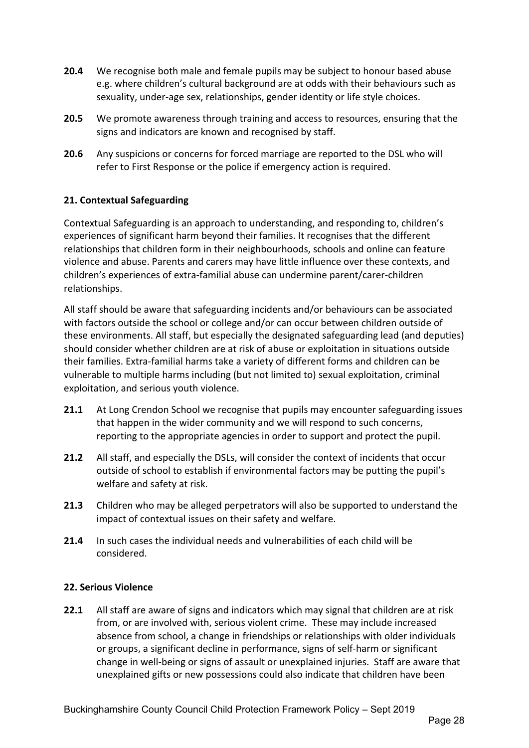- **20.4** We recognise both male and female pupils may be subject to honour based abuse e.g. where children's cultural background are at odds with their behaviours such as sexuality, under-age sex, relationships, gender identity or life style choices.
- **20.5** We promote awareness through training and access to resources, ensuring that the signs and indicators are known and recognised by staff.
- **20.6** Any suspicions or concerns for forced marriage are reported to the DSL who will refer to First Response or the police if emergency action is required.

### **21. Contextual Safeguarding**

Contextual Safeguarding is an approach to understanding, and responding to, children's experiences of significant harm beyond their families. It recognises that the different relationships that children form in their neighbourhoods, schools and online can feature violence and abuse. Parents and carers may have little influence over these contexts, and children's experiences of extra-familial abuse can undermine parent/carer-children relationships.

All staff should be aware that safeguarding incidents and/or behaviours can be associated with factors outside the school or college and/or can occur between children outside of these environments. All staff, but especially the designated safeguarding lead (and deputies) should consider whether children are at risk of abuse or exploitation in situations outside their families. Extra-familial harms take a variety of different forms and children can be vulnerable to multiple harms including (but not limited to) sexual exploitation, criminal exploitation, and serious youth violence.

- **21.1** At Long Crendon School we recognise that pupils may encounter safeguarding issues that happen in the wider community and we will respond to such concerns, reporting to the appropriate agencies in order to support and protect the pupil.
- **21.2** All staff, and especially the DSLs, will consider the context of incidents that occur outside of school to establish if environmental factors may be putting the pupil's welfare and safety at risk.
- **21.3** Children who may be alleged perpetrators will also be supported to understand the impact of contextual issues on their safety and welfare.
- **21.4** In such cases the individual needs and vulnerabilities of each child will be considered.

### **22. Serious Violence**

**22.1** All staff are aware of signs and indicators which may signal that children are at risk from, or are involved with, serious violent crime. These may include increased absence from school, a change in friendships or relationships with older individuals or groups, a significant decline in performance, signs of self-harm or significant change in well-being or signs of assault or unexplained injuries. Staff are aware that unexplained gifts or new possessions could also indicate that children have been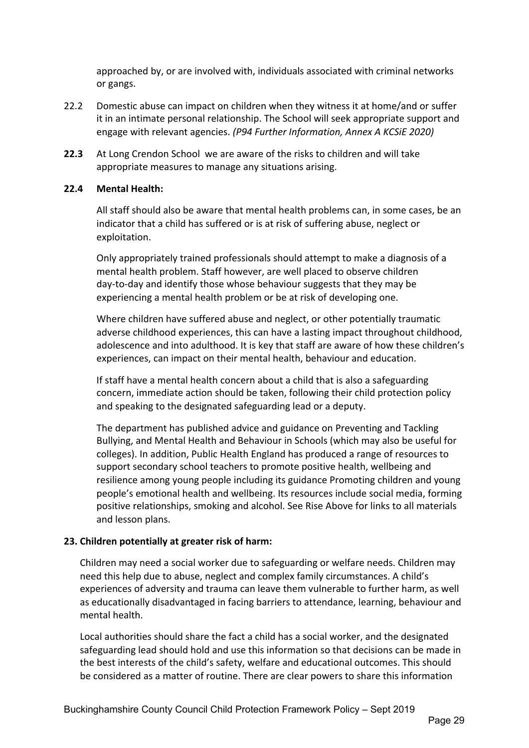approached by, or are involved with, individuals associated with criminal networks or gangs.

- 22.2 Domestic abuse can impact on children when they witness it at home/and or suffer it in an intimate personal relationship. The School will seek appropriate support and engage with relevant agencies. *(P94 Further Information, Annex A KCSiE 2020)*
- **22.3** At Long Crendon School we are aware of the risks to children and will take appropriate measures to manage any situations arising.

### **22.4 Mental Health:**

All staff should also be aware that mental health problems can, in some cases, be an indicator that a child has suffered or is at risk of suffering abuse, neglect or exploitation.

Only appropriately trained professionals should attempt to make a diagnosis of a mental health problem. Staff however, are well placed to observe children day-to-day and identify those whose behaviour suggests that they may be experiencing a mental health problem or be at risk of developing one.

Where children have suffered abuse and neglect, or other potentially traumatic adverse childhood experiences, this can have a lasting impact throughout childhood, adolescence and into adulthood. It is key that staff are aware of how these children's experiences, can impact on their mental health, behaviour and education.

If staff have a mental health concern about a child that is also a safeguarding concern, immediate action should be taken, following their child protection policy and speaking to the designated safeguarding lead or a deputy.

The department has published advice and guidance on Preventing and Tackling Bullying, and Mental Health and Behaviour in Schools (which may also be useful for colleges). In addition, Public Health England has produced a range of resources to support secondary school teachers to promote positive health, wellbeing and resilience among young people including its guidance Promoting children and young people's emotional health and wellbeing. Its resources include social media, forming positive relationships, smoking and alcohol. See Rise Above for links to all materials and lesson plans.

### **23. Children potentially at greater risk of harm:**

Children may need a social worker due to safeguarding or welfare needs. Children may need this help due to abuse, neglect and complex family circumstances. A child's experiences of adversity and trauma can leave them vulnerable to further harm, as well as educationally disadvantaged in facing barriers to attendance, learning, behaviour and mental health.

Local authorities should share the fact a child has a social worker, and the designated safeguarding lead should hold and use this information so that decisions can be made in the best interests of the child's safety, welfare and educational outcomes. This should be considered as a matter of routine. There are clear powers to share this information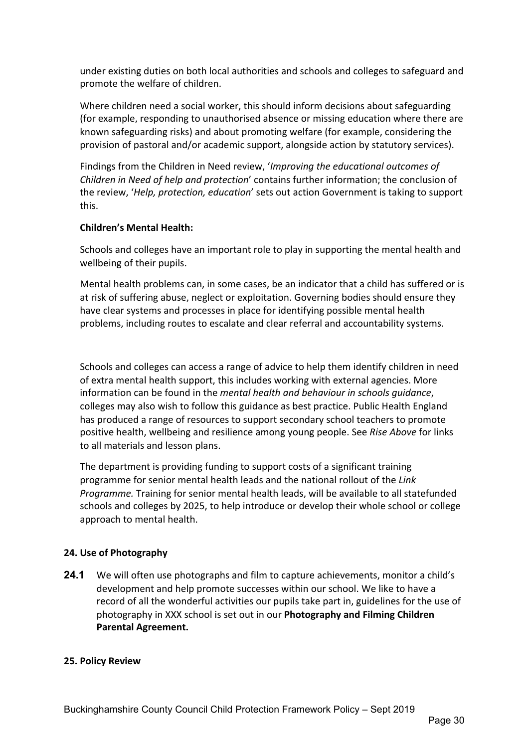under existing duties on both local authorities and schools and colleges to safeguard and promote the welfare of children.

Where children need a social worker, this should inform decisions about safeguarding (for example, responding to unauthorised absence or missing education where there are known safeguarding risks) and about promoting welfare (for example, considering the provision of pastoral and/or academic support, alongside action by statutory services).

Findings from the Children in Need review, '*Improving the educational outcomes of Children in Need of help and protection*' contains further information; the conclusion of the review, '*Help, protection, education*' sets out action Government is taking to support this.

### **Children's Mental Health:**

Schools and colleges have an important role to play in supporting the mental health and wellbeing of their pupils.

Mental health problems can, in some cases, be an indicator that a child has suffered or is at risk of suffering abuse, neglect or exploitation. Governing bodies should ensure they have clear systems and processes in place for identifying possible mental health problems, including routes to escalate and clear referral and accountability systems.

Schools and colleges can access a range of advice to help them identify children in need of extra mental health support, this includes working with external agencies. More information can be found in the *mental health and behaviour in schools guidance*, colleges may also wish to follow this guidance as best practice. Public Health England has produced a range of resources to support secondary school teachers to promote positive health, wellbeing and resilience among young people. See *Rise Above* for links to all materials and lesson plans.

The department is providing funding to support costs of a significant training programme for senior mental health leads and the national rollout of the *Link Programme.* Training for senior mental health leads, will be available to all statefunded schools and colleges by 2025, to help introduce or develop their whole school or college approach to mental health.

### **24. Use of Photography**

**24.1** We will often use photographs and film to capture achievements, monitor a child's development and help promote successes within our school. We like to have a record of all the wonderful activities our pupils take part in, guidelines for the use of photography in XXX school is set out in our **Photography and Filming Children Parental Agreement.**

### **25. Policy Review**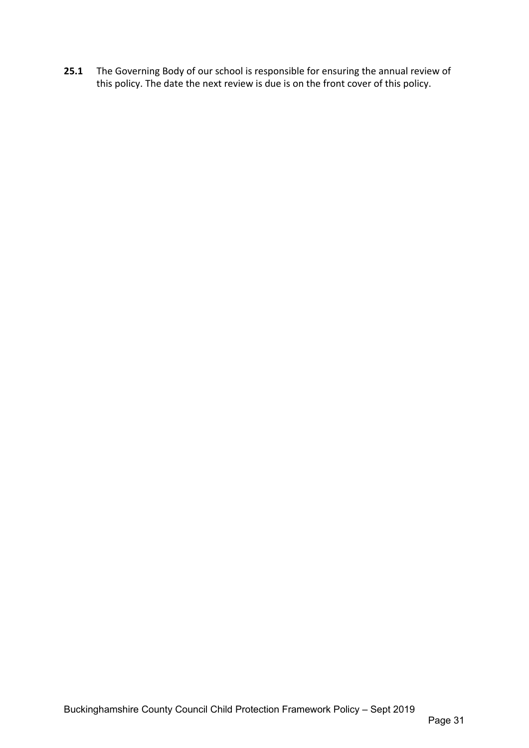**25.1** The Governing Body of our school is responsible for ensuring the annual review of this policy. The date the next review is due is on the front cover of this policy.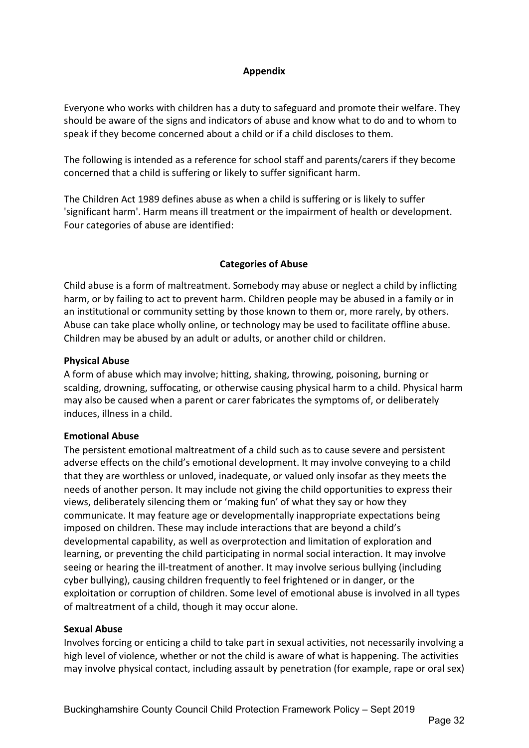### **Appendix**

Everyone who works with children has a duty to safeguard and promote their welfare. They should be aware of the signs and indicators of abuse and know what to do and to whom to speak if they become concerned about a child or if a child discloses to them.

The following is intended as a reference for school staff and parents/carers if they become concerned that a child is suffering or likely to suffer significant harm.

The Children Act 1989 defines abuse as when a child is suffering or is likely to suffer 'significant harm'. Harm means ill treatment or the impairment of health or development. Four categories of abuse are identified:

### **Categories of Abuse**

Child abuse is a form of maltreatment. Somebody may abuse or neglect a child by inflicting harm, or by failing to act to prevent harm. Children people may be abused in a family or in an institutional or community setting by those known to them or, more rarely, by others. Abuse can take place wholly online, or technology may be used to facilitate offline abuse. Children may be abused by an adult or adults, or another child or children.

### **Physical Abuse**

A form of abuse which may involve; hitting, shaking, throwing, poisoning, burning or scalding, drowning, suffocating, or otherwise causing physical harm to a child. Physical harm may also be caused when a parent or carer fabricates the symptoms of, or deliberately induces, illness in a child.

### **Emotional Abuse**

The persistent emotional maltreatment of a child such as to cause severe and persistent adverse effects on the child's emotional development. It may involve conveying to a child that they are worthless or unloved, inadequate, or valued only insofar as they meets the needs of another person. It may include not giving the child opportunities to express their views, deliberately silencing them or 'making fun' of what they say or how they communicate. It may feature age or developmentally inappropriate expectations being imposed on children. These may include interactions that are beyond a child's developmental capability, as well as overprotection and limitation of exploration and learning, or preventing the child participating in normal social interaction. It may involve seeing or hearing the ill-treatment of another. It may involve serious bullying (including cyber bullying), causing children frequently to feel frightened or in danger, or the exploitation or corruption of children. Some level of emotional abuse is involved in all types of maltreatment of a child, though it may occur alone.

### **Sexual Abuse**

Involves forcing or enticing a child to take part in sexual activities, not necessarily involving a high level of violence, whether or not the child is aware of what is happening. The activities may involve physical contact, including assault by penetration (for example, rape or oral sex)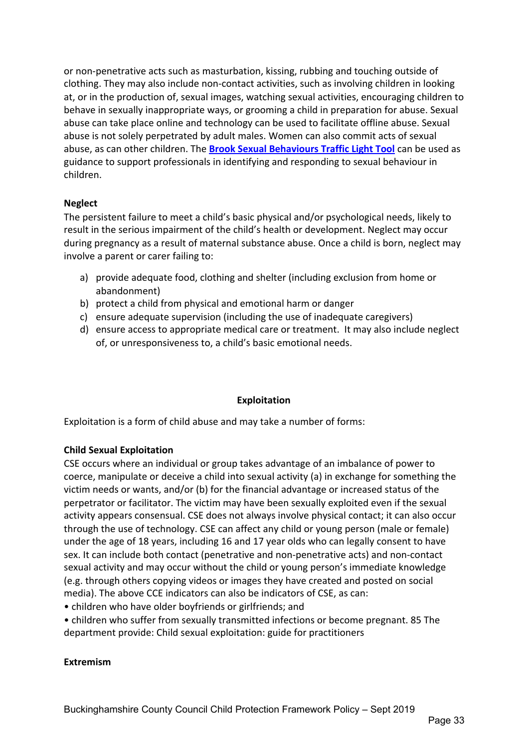or non-penetrative acts such as masturbation, kissing, rubbing and touching outside of clothing. They may also include non-contact activities, such as involving children in looking at, or in the production of, sexual images, watching sexual activities, encouraging children to behave in sexually inappropriate ways, or grooming a child in preparation for abuse. Sexual abuse can take place online and technology can be used to facilitate offline abuse. Sexual abuse is not solely perpetrated by adult males. Women can also commit acts of sexual abuse, as can other children. The **[Brook Sexual Behaviours Traffic Light Tool](https://www.brook.org.uk/our-work/the-sexual-behaviours-traffic-light-tool)** can be used as guidance to support professionals in identifying and responding to sexual behaviour in children.

### **Neglect**

The persistent failure to meet a child's basic physical and/or psychological needs, likely to result in the serious impairment of the child's health or development. Neglect may occur during pregnancy as a result of maternal substance abuse. Once a child is born, neglect may involve a parent or carer failing to:

- a) provide adequate food, clothing and shelter (including exclusion from home or abandonment)
- b) protect a child from physical and emotional harm or danger
- c) ensure adequate supervision (including the use of inadequate caregivers)
- d) ensure access to appropriate medical care or treatment. It may also include neglect of, or unresponsiveness to, a child's basic emotional needs.

### **Exploitation**

Exploitation is a form of child abuse and may take a number of forms:

### **Child Sexual Exploitation**

CSE occurs where an individual or group takes advantage of an imbalance of power to coerce, manipulate or deceive a child into sexual activity (a) in exchange for something the victim needs or wants, and/or (b) for the financial advantage or increased status of the perpetrator or facilitator. The victim may have been sexually exploited even if the sexual activity appears consensual. CSE does not always involve physical contact; it can also occur through the use of technology. CSE can affect any child or young person (male or female) under the age of 18 years, including 16 and 17 year olds who can legally consent to have sex. It can include both contact (penetrative and non-penetrative acts) and non-contact sexual activity and may occur without the child or young person's immediate knowledge (e.g. through others copying videos or images they have created and posted on social media). The above CCE indicators can also be indicators of CSE, as can:

- children who have older boyfriends or girlfriends; and
- children who suffer from sexually transmitted infections or become pregnant. 85 The department provide: Child sexual exploitation: guide for practitioners

### **Extremism**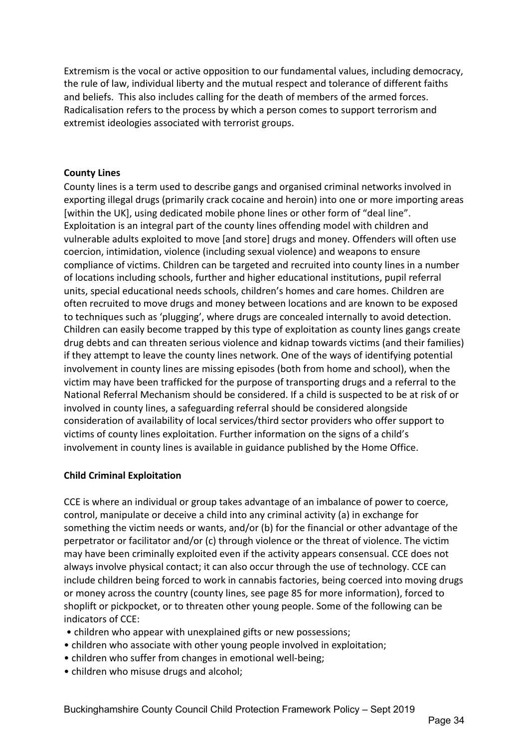Extremism is the vocal or active opposition to our fundamental values, including democracy, the rule of law, individual liberty and the mutual respect and tolerance of different faiths and beliefs. This also includes calling for the death of members of the armed forces. Radicalisation refers to the process by which a person comes to support terrorism and extremist ideologies associated with terrorist groups.

### **County Lines**

County lines is a term used to describe gangs and organised criminal networks involved in exporting illegal drugs (primarily crack cocaine and heroin) into one or more importing areas [within the UK], using dedicated mobile phone lines or other form of "deal line". Exploitation is an integral part of the county lines offending model with children and vulnerable adults exploited to move [and store] drugs and money. Offenders will often use coercion, intimidation, violence (including sexual violence) and weapons to ensure compliance of victims. Children can be targeted and recruited into county lines in a number of locations including schools, further and higher educational institutions, pupil referral units, special educational needs schools, children's homes and care homes. Children are often recruited to move drugs and money between locations and are known to be exposed to techniques such as 'plugging', where drugs are concealed internally to avoid detection. Children can easily become trapped by this type of exploitation as county lines gangs create drug debts and can threaten serious violence and kidnap towards victims (and their families) if they attempt to leave the county lines network. One of the ways of identifying potential involvement in county lines are missing episodes (both from home and school), when the victim may have been trafficked for the purpose of transporting drugs and a referral to the National Referral Mechanism should be considered. If a child is suspected to be at risk of or involved in county lines, a safeguarding referral should be considered alongside consideration of availability of local services/third sector providers who offer support to victims of county lines exploitation. Further information on the signs of a child's involvement in county lines is available in guidance published by the Home Office.

### **Child Criminal Exploitation**

CCE is where an individual or group takes advantage of an imbalance of power to coerce, control, manipulate or deceive a child into any criminal activity (a) in exchange for something the victim needs or wants, and/or (b) for the financial or other advantage of the perpetrator or facilitator and/or (c) through violence or the threat of violence. The victim may have been criminally exploited even if the activity appears consensual. CCE does not always involve physical contact; it can also occur through the use of technology. CCE can include children being forced to work in cannabis factories, being coerced into moving drugs or money across the country (county lines, see page 85 for more information), forced to shoplift or pickpocket, or to threaten other young people. Some of the following can be indicators of CCE:

- children who appear with unexplained gifts or new possessions;
- children who associate with other young people involved in exploitation;
- children who suffer from changes in emotional well-being;
- children who misuse drugs and alcohol;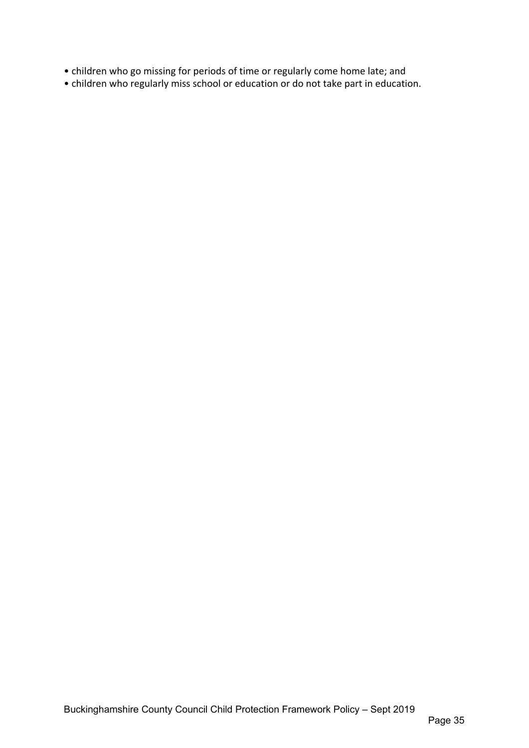- children who go missing for periods of time or regularly come home late; and
- children who regularly miss school or education or do not take part in education.